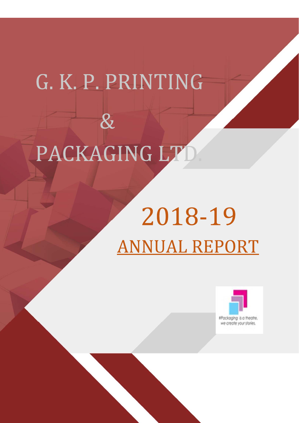# **Contract Contract Contract Contract Contract**

# PACKAGING LTD

 $\&$ 

# 2018-19 **ANNUAL REPORT**



**1 |** Page Annual Report 2018 ‐ 1 9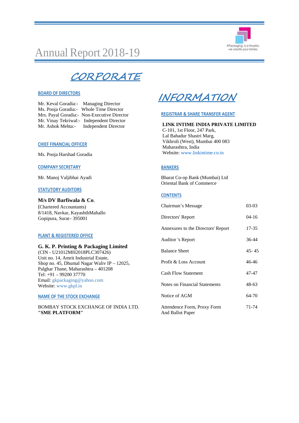



#### **BOARD OF DIRECTORS**

Mr. Keval Goradia:- Managing Director Ms. Pooja Goradia:- Whole Time Director Mrs. Payal Goradia:- Non-Executive Director Mr. Vinay Tekriwal:- Independent Director<br>Mr. Ashok Mehta:- Independent Director Independent Director

#### **CHIEF FINANCIAL OFFICER**

Ms. Pooja Harshad Goradia

#### **COMPANY SECRETARY**

Mr. Manoj Valjibhai Ayadi

#### **STATUTORY AUDITORS**

#### **M/s DV Barfiwala & Co**.

(Chartered Accountants) 8/1418, Navkar, KayashthMahallo Gopipura, Surat– 395001

#### **PLANT & REGISTERED OFFICE**

#### **G. K. P. Printing & Packaging Limited**

(CIN - U21012MH2018PLC307426) Unit no. 14, Amrit Industrial Estate, Shop no. 45, Dhumal Nagar Waliv IP – 12025, Palghar Thane, Maharashtra – 401208 Tel: +91 – 99200 37770 Email: gkpackaging@yahoo.com Website: www.gkpl.in

**NAME OF THE STOCK EXCHANGE**

#### BOMBAY STOCK EXCHANGE OF INDIA LTD. **"SME PLATFORM"**

### **INFORMATION**

#### **REGISTRAR & SHARE TRANSFER AGENT**

#### **LINK INTIME INDIA PRIVATE LIMITED**

C-101, 1st Floor, 247 Park, Lal Bahadur Shastri Marg, Vikhroli (West), Mumbai 400 083 Maharashtra, India Website: www.linkintime.co.in

#### **BANKERS**

Bharat Co-op Bank (Mumbai) Ltd Oriental Bank of Commerce

#### **CONTENTS**

| Chairman's Message                              | $03-03$   |
|-------------------------------------------------|-----------|
| Directors' Report                               | $04-16$   |
| Annexures to the Directors' Report              | 17-35     |
| Auditor 's Report                               | 36-44     |
| <b>Balance Sheet</b>                            | $45 - 45$ |
| Profit & Loss Account                           | 46-46     |
| <b>Cash Flow Statement</b>                      | 47-47     |
| Notes on Financial Statements                   | 48-63     |
| Notice of AGM                                   | 64-70     |
| Attendence Form, Proxy Form<br>And Ballot Paper | 71-74     |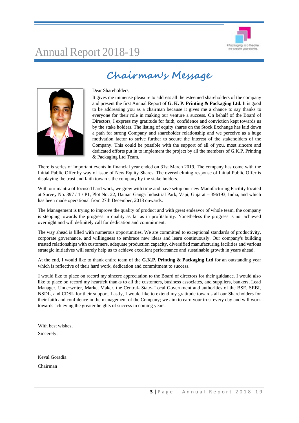

### **Chairman's Message**



Dear Shareholders,

It gives me immense pleasure to address all the esteemed shareholders of the company and present the first Annual Report of **G. K. P. Printing & Packaging Ltd.** It is good to be addressing you as a chairman because it gives me a chance to say thanks to everyone for their role in making our venture a success. On behalf of the Board of Directors, I express my gratitude for faith, confidence and conviction kept towards us by the stake holders. The listing of equity shares on the Stock Exchange has laid down a path for strong Company and shareholder relationship and we perceive as a huge motivation factor to strive further to secure the interest of the stakeholders of the Company. This could be possible with the support of all of you, most sincere and dedicated efforts put in to implement the project by all the members of G.K.P. Printing & Packaging Ltd Team.

There is series of important events in financial year ended on 31st March 2019. The company has come with the Initial Public Offer by way of issue of New Equity Shares. The overwhelming response of Initial Public Offer is displaying the trust and faith towards the company by the stake holders.

With our mantra of focused hard work, we grew with time and have setup our new Manufacturing Facility located at Survey No. 397 / 1 / P1, Plot No. 22, Daman Ganga Industrial Park, Vapi, Gujarat – 396193, India, and which has been made operational from 27th December, 2018 onwards.

The Management is trying to improve the quality of product and with great endeavor of whole team, the company is stepping towards the progress in quality as far as in profitability. Nonetheless the progress is not achieved overnight and will definitely call for dedication and commitment.

The way ahead is filled with numerous opportunities. We are committed to exceptional standards of productivity, corporate governance, and willingness to embrace new ideas and learn continuously. Our company's building trusted relationships with customers, adequate production capacity, diversified manufacturing facilities and various strategic initiatives will surely help us to achieve excellent performance and sustainable growth in years ahead.

At the end, I would like to thank entire team of the **G.K.P. Printing & Packaging Ltd** for an outstanding year which is reflective of their hard work, dedication and commitment to success.

I would like to place on record my sincere appreciation to the Board of directors for their guidance. I would also like to place on record my heartfelt thanks to all the customers, business associates, and suppliers, bankers, Lead Manager, Underwriter, Market Maker, the Central- State- Local Government and authorities of the BSE, SEBI, NSDL, and CDSL for their support. Lastly, I would like to extend my gratitude towards all our Shareholders for their faith and confidence in the management of the Company; we aim to earn your trust every day and will work towards achieving the greater heights of success in coming years.

With best wishes, Sincerely,

Keval Goradia

Chairman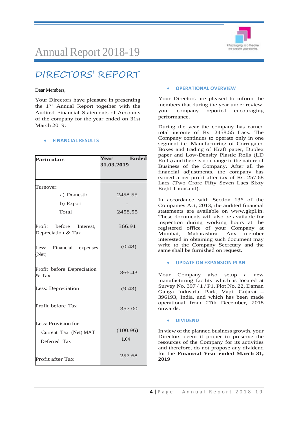

### DIRECTORS' REPORT

#### Dear Members,

Your Directors have pleasure in presenting the 1ST Annual Report together with the Audited Financial Statements of Accounts of the company for the year ended on 31st March 2019:

#### **FINANCIAL RESULTS**

| <b>Particulars</b>                            | <b>Ended</b><br><b>Year</b><br>31.03.2019 |
|-----------------------------------------------|-------------------------------------------|
| Turnover:                                     |                                           |
| a) Domestic                                   | 2458.55                                   |
| b) Export                                     |                                           |
| Total                                         | 2458.55                                   |
| Profit before Interest,<br>Depreciation & Tax | 366.91                                    |
| Less: Financial expenses<br>(Net)             | (0.48)                                    |
| Profit before Depreciation<br>& Tax           | 366.43                                    |
| Less: Depreciation                            | (9.43)                                    |
| Profit before Tax                             | 357.00                                    |
| Less: Provision for                           |                                           |
| Current Tax (Net) MAT                         | (100.96)                                  |
| Deferred Tax                                  | 1.64                                      |
| Profit after Tax                              | 257.68                                    |

#### **OPERATIONAL OVERVIEW**

Your Directors are pleased to inform the members that during the year under review, your company reported encouraging performance.

During the year the company has earned total income of Rs. 2458.55 Lacs. The Company continues to operate only in one segment i.e. Manufacturing of Corrugated Boxes and trading of Kraft paper, Duplex paper and Low-Density Plastic Rolls (LD Rolls) and there is no change in the nature of Business of the Company. After all the financial adjustments, the company has earned a net profit after tax of Rs. 257.68 Lacs (Two Crore Fifty Seven Lacs Sixty Eight Thousand).

In accordance with Section 136 of the Companies Act, 2013, the audited financial statements are available on www.gkpl.in. These documents will also be available for inspection during working hours at the registered office of your Company at Mumbai, Maharashtra. Any member interested in obtaining such document may write to the Company Secretary and the same shall be furnished on request.

#### **UPDATE ON EXPANSION PLAN**

Your Company also setup a new manufacturing facility which is located at Survey No. 397 / 1 / P1, Plot No. 22, Daman Ganga Industrial Park, Vapi, Gujarat – 396193, India, and which has been made operational from 27th December, 2018 onwards.

#### **DIVIDEND**

In view of the planned business growth, your Directors deem it proper to preserve the resources of the Company for its activities and therefore, do not propose any dividend for the **Financial Year ended March 31, 2019**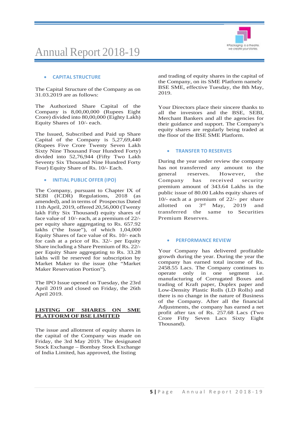

#### **CAPITAL STRUCTURE**

The Capital Structure of the Company as on 31.03.2019 are as follows:

The Authorized Share Capital of the Company is 8,00,00,000 (Rupees Eight Crore) divided into 80,00,000 (Eighty Lakh) Equity Shares of 10/- each.

The Issued, Subscribed and Paid up Share Capital of the Company is 5,27,69,440 (Rupees Five Crore Twenty Seven Lakh Sixty Nine Thousand Four Hundred Forty) divided into 52,76,944 (Fifty Two Lakh Seventy Six Thousand Nine Hundred Forty Four) Equity Share of Rs. 10/- Each.

#### **INITIAL PUBLIC OFFER (IPO)**

The Company, pursuant to Chapter IX of SEBI (ICDR) Regulations, 2018 (as amended), and in terms of Prospectus Dated 11th April, 2019, offered 20,56,000 (Twenty lakh Fifty Six Thousand) equity shares of face value of 10/- each, at a premium of 22/ per equity share aggregating to Rs. 657.92 lakhs ("the Issue"), of which 1,04,000 Equity Shares of face value of Rs. 10/- each for cash at a price of Rs. 32/- per Equity Share including a Share Premium of Rs. 22/ per Equity Share aggregating to Rs. 33.28 lakhs will be reserved for subscription by Market Maker to the issue (the "Market Maker Reservation Portion").

The IPO Issue opened on Tuesday, the 23rd April 2019 and closed on Friday, the 26th April 2019.

#### **LISTING OF SHARES ON SME PLATFORM OF BSE LIMITED**

The issue and allotment of equity shares in the capital of the Company was made on Friday, the 3rd May 2019. The designated Stock Exchange – Bombay Stock Exchange of India Limited, has approved, the listing

and trading of equity shares in the capital of the Company, on its SME Platform namely BSE SME, effective Tuesday, the 8th May, 2019.

Your Directors place their sincere thanks to all the investors and the BSE, SEBI, Merchant Bankers and all the agencies for their guidance and support. The Company's equity shares are regularly being traded at the floor of the BSE SME Platform.

#### **TRANSFER TO RESERVES**

During the year under review the company has not transferred any amount to the general reserves. However, the Company has received security premium amount of 343.64 Lakhs in the public issue of 80.00 Lakhs equity shares of 10/- each at a premium of 22/- per share allotted on 3rd May, 2019 and transferred the same to Securities Premium Reserves.

#### **PERFORMANCE REVIEW**

Your Company has delivered profitable growth during the year. During the year the company has earned total income of Rs. 2458.55 Lacs. The Company continues to operate only in one segment i.e. manufacturing of Corrugated Boxes and trading of Kraft paper, Duplex paper and Low-Density Plastic Rolls (LD Rolls) and there is no change in the nature of Business of the Company. After all the financial Adjustments, the company has earned a net profit after tax of Rs. 257.68 Lacs (Two Crore Fifty Seven Lacs Sixty Eight Thousand).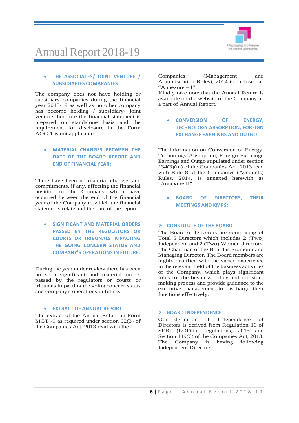

#### **THE ASSOCIATES/ JOINT VENTURE / SUBSIDIARIES COMAPANIES**

The company does not have holding or subsidiary companies during the financial year 2018-19 as well as no other company has become holding / subsidiary/ joint venture therefore the financial statement is prepared on standalone basis and the requirement for disclosure in the Form AOC-1 is not applicable.

#### **MATERIAL CHANGES BETWEEN THE DATE OF THE BOARD REPORT AND END OF FINANCIAL YEAR:**

There have been no material changes and commitments, if any, affecting the financial position of the Company which have occurred between the end of the financial year of the Company to which the financial statements relate and the date of the report.

 **SIGNIFICANT AND MATERIAL ORDERS PASSED BY THE REGULATORS OR COURTS OR TRIBUNALS IMPACTING THE GOING CONCERN STATUS AND COMPANY'S OPERATIONS IN FUTURE:**

During the year under review there has been no such significant and material orders passed by the regulators or courts or tribunals impacting the going concern status and company's operations in future.

#### **EXTRACT OF ANNUAL REPORT**

The extract of the Annual Return in Form MGT -9 as required under section 92(3) of the Companies Act, 2013 read with the

Companies (Management and Administration Rules), 2014 is enclosed as "Annexure – I".

Kindly take note that the Annual Return is available on the website of the Company as a part of Annual Report.

#### **CONVERSION OF ENERGY, TECHNOLOGY ABSORPTION, FOREIGN EXCHANGE EARNINGS AND OUTGO**

The information on Conversion of Energy, Technology Absorption, Foreign Exchange Earnings and Outgo stipulated under section 134(3)(m) of the Companies Act, 2013 read with Rule 8 of the Companies (Accounts) Rules, 2014, is annexed herewith as "Annexure II".

 **BOARD OF DIRECTORS, THEIR MEETINGS AND KMPS:**

#### **CONSTITUTE OF THE BOARD**

The Board of Directors are comprising of Total 5 Directors which includes 2 (Two) Independent and 2 (Two) Women directors. The Chairman of the Board is Promoter and Managing Director. The Board members are highly qualified with the varied experience in the relevant field of the business activities of the Company, which plays significant roles for the business policy and decisionmaking process and provide guidance to the executive management to discharge their functions effectively.

#### **BOARD INDEPENDENCE**

Our definition of 'Independence' of Directors is derived from Regulation 16 of SEBI (LODR) Regulations, 2015 and Section 149(6) of the Companies Act, 2013. The Company is having following Independent Directors: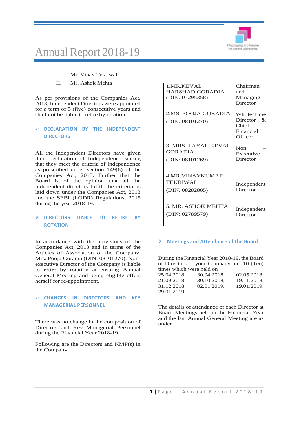

- I. Mr. Vinay Tekriwal
- II. Mr. Ashok Mehta

As per provisions of the Companies Act, 2013, Independent Directors were appointed for a term of 5 (five) consecutive years and shall not be liable to retire by rotation.

#### **DECLARATION BY THE INDEPENDENT DIRECTORS**

All the Independent Directors have given their declaration of Independence stating that they meet the criteria of independence as prescribed under section 149(6) of the Companies Act, 2013. Further that the Board is of the opinion that all the independent directors fulfill the criteria as laid down under the Companies Act, 2013 and the SEBI (LODR) Regulations, 2015 during the year 2018-19.

#### **DIRECTORS LIABLE TO RETIRE BY ROTATION**

In accordance with the provisions of the Companies Act, 2013 and in terms of the Articles of Association of the Company, Mrs. Pooja Goradia (DIN: 08101270), Nonexecutive Director of the Company is liable to retire by rotation at ensuing Annual General Meeting and being eligible offers herself for re-appointment.

#### **CHANGES IN DIRECTORS AND KEY MANAGERIAL PERSONNEL**

There was no change in the composition of Directors and Key Managerial Personnel during the Financial Year 2018-19.

Following are the Directors and KMP(s) in the Company:

| 1. MR. KEVAL<br>HARSHAD GORADIA<br>(DIN: 07295358)       | Chairman<br>and<br>Managing<br>Director                   |
|----------------------------------------------------------|-----------------------------------------------------------|
| 2.MS. POOJA GORADIA<br>(DIN: 08101270)                   | Whole Time<br>Director &<br>Chief<br>Financial<br>Officer |
| 3. MRS. PAYAL KEVAL<br><b>GORADIA</b><br>(DIN: 08101269) | Non<br>Executive<br>Director                              |
| 4.MR.VINAYKUMAR<br><b>TEKRIWAL</b><br>(DIN: 08282805)    | Independent<br>Director                                   |
| 5. MR. ASHOK MEHTA<br>(DIN: 02789579)                    | Independent<br>Director                                   |

#### **Meetings and Attendance of the Board**

During the Financial Year 2018-19, the Board of Directors of your Company met 10 (Ten) times which were held on

| 25.04.2018, | 30.04.2018. | 02.05.2018. |
|-------------|-------------|-------------|
| 21.09.2018. | 30.10.2018, | 19.11.2018. |
| 31.12.2018. | 02.01.2019. | 19.01.2019. |
| 29.01.2019  |             |             |

The details of attendance of each Director at Board Meetings held in the Financial Year and the last Annual General Meeting are as under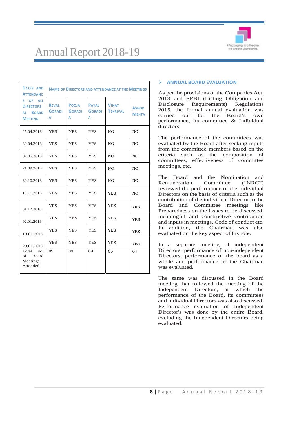

| DATES AND<br><b>ATTENDANC</b>                                  | <b>NAME OF DIRECTORS AND ATTENDANCE AT THE MEETINGS</b> |                                    |                                    |                                 |                               |
|----------------------------------------------------------------|---------------------------------------------------------|------------------------------------|------------------------------------|---------------------------------|-------------------------------|
| OF ALL<br>F.<br><b>DIRECTORS</b><br>AT BOARD<br><b>MEETING</b> | <b>KEVAL</b><br><b>GORADI</b><br>А                      | <b>POOIA</b><br><b>GORADI</b><br>А | <b>PAYAL</b><br><b>GORADI</b><br>А | <b>VINAY</b><br><b>TEKRIVAL</b> | <b>А</b> SHOК<br><b>МЕНТА</b> |
| 25.04.2018                                                     | <b>YES</b>                                              | YES                                | YES                                | NO.                             | N <sub>O</sub>                |
| 30.04.2018                                                     | <b>YES</b>                                              | <b>YES</b>                         | <b>YES</b>                         | N <sub>O</sub>                  | N <sub>O</sub>                |
| 02.05.2018                                                     | <b>YES</b>                                              | <b>YES</b>                         | <b>YES</b>                         | NO.                             | NO.                           |
| 21.09.2018                                                     | <b>YES</b>                                              | <b>YES</b>                         | <b>YES</b>                         | N <sub>O</sub>                  | NO                            |
| 30.10.2018                                                     | <b>YES</b>                                              | <b>YES</b>                         | <b>YES</b>                         | NO.                             | NO <sub>1</sub>               |
| 19.11.2018                                                     | <b>YES</b>                                              | <b>YES</b>                         | <b>YES</b>                         | <b>YES</b>                      | NO.                           |
| 31.12.2018                                                     | <b>YES</b>                                              | <b>YES</b>                         | <b>YES</b>                         | <b>YES</b>                      | <b>YES</b>                    |
| 02.01.2019                                                     | <b>YES</b>                                              | <b>YES</b>                         | <b>YES</b>                         | <b>YES</b>                      | <b>YES</b>                    |
| 19.01.2019                                                     | <b>YES</b>                                              | <b>YES</b>                         | <b>YES</b>                         | <b>YES</b>                      | <b>YES</b>                    |
| 29.01.2019                                                     | <b>YES</b>                                              | <b>YES</b>                         | <b>YES</b>                         | <b>YES</b>                      | <b>YES</b>                    |
| Total<br>No.<br>Board<br>of<br>Meetings<br>Attended            | 09                                                      | 09                                 | 09                                 | 0 <sub>5</sub>                  | 04                            |

#### **ANNUAL BOARD EVALUATION**

As per the provisions of the Companies Act, 2013 and SEBI (Listing Obligation and Disclosure Requirements) Regulations 2015, the formal annual evaluation was carried out for the Board's own performance, its committee & Individual directors.

The performance of the committees was evaluated by the Board after seeking inputs from the committee members based on the criteria such as the composition of committees, effectiveness of committee meetings, etc.

The Board and the Nomination and Remuneration Committee ("NRC") reviewed the performance of the Individual Directors on the basis of criteria such as the contribution of the individual Director to the Board and Committee meetings like Preparedness on the issues to be discussed, meaningful and constructive contribution and inputs in meetings, Code of conduct etc. In addition, the Chairman was also evaluated on the key aspect of his role.

In a separate meeting of independent Directors, performance of non-independent Directors, performance of the board as a whole and performance of the Chairman was evaluated.

The same was discussed in the Board meeting that followed the meeting of the Independent Directors, at which the performance of the Board, its committees and individual Directors was also discussed. Performance evaluation of Independent Director's was done by the entire Board, excluding the Independent Directors being evaluated.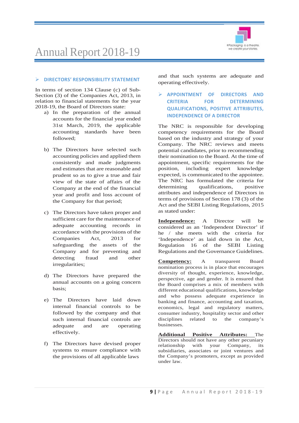

#### **DIRECTORS' RESPONSIBILITY STATEMENT**

In terms of section 134 Clause (c) of Sub-Section (3) of the Companies Act, 2013, in relation to financial statements for the year 2018-19, the Board of Directors state:

- a) In the preparation of the annual accounts for the financial year ended 31st March, 2019, the applicable accounting standards have been followed;
- b) The Directors have selected such accounting policies and applied them consistently and made judgments and estimates that are reasonable and prudent so as to give a true and fair view of the state of affairs of the Company at the end of the financial year and profit and loss account of the Company for that period;
- c) The Directors have taken proper and sufficient care for the maintenance of adequate accounting records in accordance with the provisions of the Companies Act, 2013 for safeguarding the assets of the Company and for preventing and detecting fraud and other irregularities;
- d) The Directors have prepared the annual accounts on a going concern basis;
- e) The Directors have laid down internal financial controls to be followed by the company and that such internal financial controls are adequate and are operating effectively.
- f) The Directors have devised proper systems to ensure compliance with the provisions of all applicable laws

and that such systems are adequate and operating effectively.

#### **APPOINTMENT OF DIRECTORS AND CRITERIA FOR DETERMINING QUALIFICATIONS, POSITIVE ATTRIBUTES, INDEPENDENCE OF A DIRECTOR**

The NRC is responsible for developing competency requirements for the Board based on the industry and strategy of your Company. The NRC reviews and meets potential candidates, prior to recommending their nomination to the Board. At the time of appointment, specific requirements for the position, including expert knowledge expected, is communicated to the appointee. The NRC has formulated the criteria for determining qualifications, positive attributes and independence of Directors in terms of provisions of Section 178 (3) of the Act and the SEBI Listing Regulations, 2015 as stated under:

**Independence:** A Director will be considered as an 'Independent Director' if he / she meets with the criteria for 'Independence' as laid down in the Act, Regulation 16 of the SEBI Listing Regulations and the Governance Guidelines.

**Competency:** A transparent Board nomination process is in place that encourages diversity of thought, experience, knowledge, perspective, age and gender. It is ensured that the Board comprises a mix of members with different educational qualifications, knowledge and who possess adequate experience in banking and finance, accounting and taxation, economics, legal and regulatory matters, consumer industry, hospitality sector and other disciplines related to the company's businesses.

**Additional Positive Attributes:** The Directors should not have any other pecuniary relationship with your Company, its subsidiaries, associates or joint ventures and the Company's promoters, except as provided under law.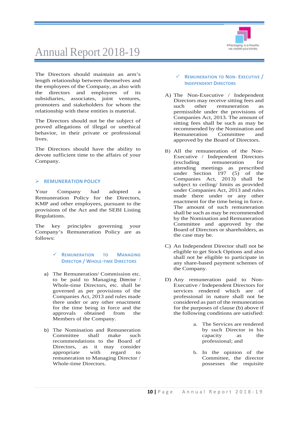

The Directors should maintain an arm's length relationship between themselves and the employees of the Company, as also with the directors and employees of its subsidiaries, associates, joint ventures, promoters and stakeholders for whom the relationship with these entities is material.

The Directors should not be the subject of proved allegations of illegal or unethical behavior, in their private or professional lives.

The Directors should have the ability to devote sufficient time to the affairs of your Company.

#### **REMUNERATION POLICY**

Your Company had adopted a Remuneration Policy for the Directors, KMP and other employees, pursuant to the provisions of the Act and the SEBI Listing Regulations.

The key principles governing your Company's Remuneration Policy are as follows:

- **REMUNERATION TO MANAGING DIRECTOR / WHOLE‐TIME DIRECTORS**
- a) The Remuneration/ Commission etc. to be paid to Managing Director / Whole-time Directors, etc. shall be governed as per provisions of the Companies Act, 2013 and rules made there under or any other enactment for the time being in force and the approvals obtained from the Members of the Company.
- b) The Nomination and Remuneration<br>Committee shall make such Committee shall make such recommendations to the Board of Directors, as it may consider appropriate with regard to remuneration to Managing Director / Whole-time Directors.

#### **REMUNERATION TO NON‐ EXECUTIVE / INDEPENDENT DIRECTORS**

- A) The Non-Executive / Independent Directors may receive sitting fees and such other remuneration as permissible under the provisions of Companies Act, 2013. The amount of sitting fees shall be such as may be recommended by the Nomination and<br>Remuneration Committee and Remuneration Committee and approved by the Board of Directors.
- B) All the remuneration of the Non-Executive / Independent Directors (excluding remuneration for attending meetings as prescribed under Section 197 (5) of the Companies Act, 2013) shall be subject to ceiling/ limits as provided under Companies Act, 2013 and rules made there under or any other enactment for the time being in force. The amount of such remuneration shall be such as may be recommended by the Nomination and Remuneration Committee and approved by the Board of Directors or shareholders, as the case may be.
- C) An Independent Director shall not be eligible to get Stock Options and also shall not be eligible to participate in any share-based payment schemes of the Company.
- D) Any remuneration paid to Non-Executive / Independent Directors for services rendered which are of professional in nature shall not be considered as part of the remuneration for the purposes of clause (b) above if the following conditions are satisfied:
	- a. The Services are rendered by such Director in his capacity as the professional; and
	- b. In the opinion of the Committee, the director possesses the requisite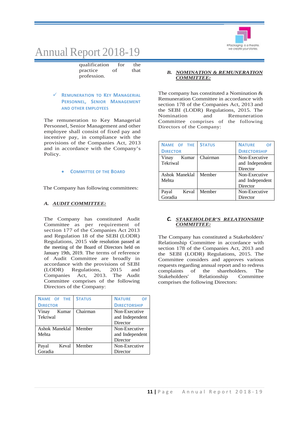

| qualification | for | the  |
|---------------|-----|------|
| practice      | οf  | that |
| profession.   |     |      |

#### **REMUNERATION TO KEY MANAGERIAL PERSONNEL, SENIOR MANAGEMENT AND OTHER EMPLOYEES**

The remuneration to Key Managerial Personnel, Senior Management and other employee shall consist of fixed pay and incentive pay, in compliance with the provisions of the Companies Act, 2013 and in accordance with the Company's Policy.

#### **COMMITTEE OF THE BOARD**

The Company has following committees:

#### *A. AUDIT COMMITTEE:*

The Company has constituted Audit Committee as per requirement of section 177 of the Companies Act 2013 and Regulation 18 of the SEBI (LODR) Regulations, 2015 vide resolution passed at the meeting of the Board of Directors held on January 19th, 2019. The terms of reference of Audit Committee are broadly in accordance with the provisions of SEBI (LODR) Regulations, 2015 and Companies Act, 2013. The Audit Committee comprises of the following Directors of the Company:

| <b>NAME OF THE</b> | <b>STATUS</b> | <b>NATURE</b><br>OF |  |
|--------------------|---------------|---------------------|--|
| <b>DIRECTOR</b>    |               | <b>DIRECTORSHIP</b> |  |
| Kumar<br>Vinay     | Chairman      | Non-Executive       |  |
| Tekriwal           |               | and Independent     |  |
|                    |               | Director            |  |
| Ashok Maneklal     | Member        | Non-Executive       |  |
| Mehta              |               | and Independent     |  |
|                    |               | Director            |  |
| Keval<br>Payal     | Member        | Non-Executive       |  |
| Goradia            |               | Director            |  |

#### *B. NOMINATION & REMUNERATION COMMITTEE:*

The company has constituted a Nomination & Remuneration Committee in accordance with section 178 of the Companies Act, 2013 and the SEBI (LODR) Regulations, 2015. The Nomination and Remuneration Committee comprises of the following Directors of the Company:

| NAME OF THE     | <b>STATUS</b> | <b>NATURE</b><br>ΟF |  |  |
|-----------------|---------------|---------------------|--|--|
| <b>DIRECTOR</b> |               | <b>DIRECTORSHIP</b> |  |  |
| Vinay<br>Kumar  | Chairman      | Non-Executive       |  |  |
| Tekriwal        |               | and Independent     |  |  |
|                 |               | Director            |  |  |
| Ashok Maneklal  | Member        | Non-Executive       |  |  |
| Mehta           |               | and Independent     |  |  |
|                 |               | Director            |  |  |
| Keval<br>Payal  | Member        | Non-Executive       |  |  |
| Goradia         |               | Director            |  |  |

#### *C. STAKEHOLDER'S RELATIONSHIP COMMITTEE:*

The Company has constituted a Stakeholders' Relationship Committee in accordance with section 178 of the Companies Act, 2013 and the SEBI (LODR) Regulations, 2015. The Committee considers and approves various requests regarding annual report and to redress complaints of the shareholders. The Stakeholders' Relationship Committee comprises the following Directors: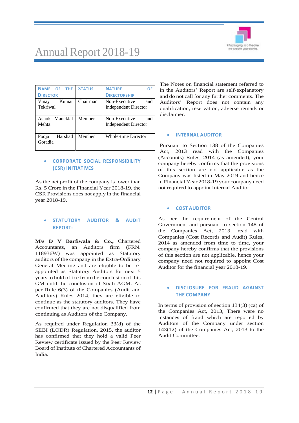

| NAME OF THE                 | <b>STATUS</b> | <b>NATURE</b><br>OF                                 |
|-----------------------------|---------------|-----------------------------------------------------|
| <b>DIRECTOR</b>             |               | <b>DIRECTORSHIP</b>                                 |
| Kumar<br>Vinay<br>Tekriwal  | Chairman      | Non-Executive<br>and<br><b>Independent Director</b> |
| Ashok Maneklal<br>Mehta     | Member        | Non-Executive<br>and<br><b>Independent Director</b> |
| Harshad<br>Pooja<br>Goradia | Member        | <b>Whole-time Director</b>                          |

#### **CORPORATE SOCIAL RESPONSIBILITY (CSR) INITIATIVES**

As the net profit of the company is lower than Rs. 5 Crore in the Financial Year 2018-19, the CSR Provisions does not apply in the financial year 2018-19.

#### **STATUTORY AUDITOR & AUDIT REPORT:**

**M/s D V Barfiwala & Co.,** Chartered Accountants, an Auditors firm (FRN. 118936W) was appointed as Statutory auditors of the company in the Extra-Ordinary General Meeting and are eligible to be reappointed as Statutory Auditors for next 5 years to hold office from the conclusion of this GM until the conclusion of Sixth AGM. As per Rule 6(3) of the Companies (Audit and Auditors) Rules 2014, they are eligible to continue as the statutory auditors. They have confirmed that they are not disqualified from continuing as Auditors of the Company.

As required under Regulation 33(d) of the SEBI (LODR) Regulation, 2015, the auditor has confirmed that they hold a valid Peer Review certificate issued by the Peer Review Board of Institute of Chartered Accountants of India.

The Notes on financial statement referred to in the Auditors' Report are self-explanatory and do not call for any further comments. The Auditors' Report does not contain any qualification, reservation, adverse remark or disclaimer.

#### **INTERNAL AUDITOR**

Pursuant to Section 138 of the Companies Act, 2013 read with the Companies (Accounts) Rules, 2014 (as amended), your company hereby confirms that the provisions of this section are not applicable as the Company was listed in May 2019 and hence in Financial Year 2018-19 your company need not required to appoint Internal Auditor.

#### **COST AUDITOR**

As per the requirement of the Central Government and pursuant to section 148 of the Companies Act, 2013, read with Companies (Cost Records and Audit) Rules, 2014 as amended from time to time, your company hereby confirms that the provisions of this section are not applicable, hence your company need not required to appoint Cost Auditor for the financial year 2018-19.

#### **DISCLOSURE FOR FRAUD AGAINST THE COMPANY**

In terms of provision of section 134(3) (ca) of the Companies Act, 2013, There were no instances of fraud which are reported by Auditors of the Company under section 143(12) of the Companies Act, 2013 to the Audit Committee.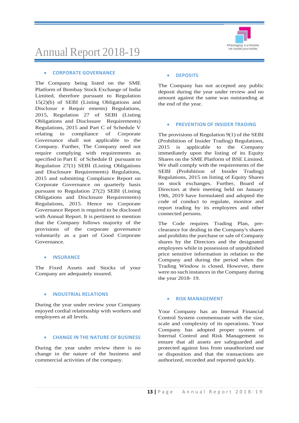

#### **CORPORATE GOVERNANCE**

The Company being listed on the SME Platform of Bombay Stock Exchange of India Limited, therefore pursuant to Regulation 15(2)(b) of SEBI (Listing Obligations and Disclosur e Requir ements) Regulations, 2015, Regulation 27 of SEBI (Listing Obligations and Disclosure Requirements) Regulations, 2015 and Part C of Schedule V relating to compliance of Corporate Governance shall not applicable to the Company. Further, The Company need not require complying with requirements as specified in Part E of Schedule II pursuant to Regulation 27(1) SEBI (Listing Obligations and Disclosure Requirements) Regulations, 2015 and submitting Compliance Report on Corporate Governance on quarterly basis pursuant to Regulation 27(2) SEBI (Listing Obligations and Disclosure Requirements) Regulations, 2015. Hence no Corporate Governance Report is required to be disclosed with Annual Report. It is pertinent to mention that the Company follows majority of the provisions of the corporate governance voluntarily as a part of Good Corporate Governance.

#### **INSURANCE**

The Fixed Assets and Stocks of your Company are adequately insured.

#### **INDUSTRIAL RELATIONS**

During the year under review your Company enjoyed cordial relationship with workers and employees at all levels.

#### **CHANGE IN THE NATURE OF BUSINESS**

During the year under review there is no change in the nature of the business and commercial activities of the company.

#### **DEPOSITS**

The Company has not accepted any public deposit during the year under review and no amount against the same was outstanding at the end of the year.

#### **PREVENTION OF INSIDER TRADING**

The provisions of Regulation 9(1) of the SEBI (Prohibition of Insider Trading) Regulations, 2015 is applicable to the Company immediately upon the listing of its Equity Shares on the SME Platform of BSE Limited. We shall comply with the requirements of the SEBI (Prohibition of Insider Trading) Regulations, 2015 on listing of Equity Shares on stock exchanges. Further, Board of Directors at their meeting held on January 19th, 2019 have formulated and adopted the code of conduct to regulate, monitor and report trading by its employees and other connected persons.

The Code requires Trading Plan, preclearance for dealing in the Company's shares and prohibits the purchase or sale of Company shares by the Directors and the designated employees while in possession of unpublished price sensitive information in relation to the Company and during the period when the Trading Window is closed. However, there were no such instances in the Company during the year 2018- 19.

#### **RISK MANAGEMENT**

Your Company has an Internal Financial Control System commensurate with the size, scale and complexity of its operations. Your Company has adopted proper system of Internal Control and Risk Management to ensure that all assets are safeguarded and protected against loss from unauthorized use or disposition and that the transactions are authorized, recorded and reported quickly.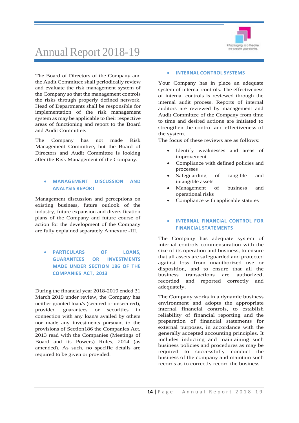

The Board of Directors of the Company and the Audit Committee shall periodically review and evaluate the risk management system of the Company so that the management controls the risks through properly defined network. Head of Departments shall be responsible for implementation of the risk management system as may be applicable to their respective areas of functioning and report to the Board and Audit Committee.

The Company has not made Risk Management Committee, but the Board of Directors and Audit Committee is looking after the Risk Management of the Company.

#### **MANAGEMENT DISCUSSION AND ANALYSIS REPORT**

Management discussion and perceptions on existing business, future outlook of the industry, future expansion and diversification plans of the Company and future course of action for the development of the Company are fully explained separately Annexure -III.

#### **PARTICULARS OF LOANS, GUARANTEES OR INVESTMENTS MADE UNDER SECTION 186 OF THE COMPANIES ACT, 2013**

During the financial year 2018-2019 ended 31 March 2019 under review, the Company has neither granted loan/s (secured or unsecured), provided guarantees or securities in connection with any loan/s availed by others nor made any investments pursuant to the provisions of Section186 the Companies Act, 2013 read with the Companies (Meetings of Board and its Powers) Rules, 2014 (as amended). As such, no specific details are required to be given or provided.

#### **INTERNAL CONTROL SYSTEMS**

Your Company has in place an adequate system of internal controls. The effectiveness of internal controls is reviewed through the internal audit process. Reports of internal auditors are reviewed by management and Audit Committee of the Company from time to time and desired actions are initiated to strengthen the control and effectiveness of the system.

The focus of these reviews are as follows:

- Identify weaknesses and areas of improvement
- Compliance with defined policies and processes
- Safeguarding of tangible and intangible assets
- Management of business and operational risks
- Compliance with applicable statutes

#### **INTERNAL FINANCIAL CONTROL FOR FINANCIAL STATEMENTS**

The Company has adequate system of internal controls commensuration with the size of its operation and business, to ensure that all assets are safeguarded and protected against loss from unauthorized use or disposition, and to ensure that all the business transactions are authorized, recorded and reported correctly and adequately.

The Company works in a dynamic business environment and adopts the appropriate internal financial controls, to establish reliability of financial reporting and the preparation of financial statements for external purposes, in accordance with the generally accepted accounting principles. It includes inducting and maintaining such business policies and procedures as may be required to successfully conduct the business of the company and maintain such records as to correctly record the business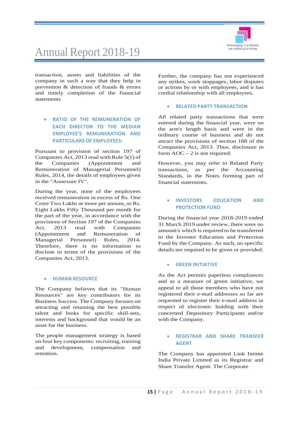

transaction, assets and liabilities of the company in such a way that they help in prevention & detection of frauds & errors and timely completion of the financial statements

#### **RATIO OF THE REMUNERATION OF EACH DIRECTOR TO THE MEDIAN EMPLOYEE'S REMUNERATION AND PARTICULARS OF EMPLOYEES:**

Pursuant to provision of section 197 of Companies Act, 2013 read with Rule 5(1) of the Companies (Appointment and Remuneration of Managerial Personnel) Rules, 2014, the details of employees given in the "Annexure IV".

During the year, none of the employees received remuneration in excess of Rs. One Crore Two Lakhs or more per annum, or Rs. Eight Lakhs Fifty Thousand per month for the part of the year, in accordance with the provisions of Section 197 of the Companies Act, 2013 read with Companies (Appointment and Remuneration of Managerial Personnel) Rules, 2014. Therefore, there is no information to disclose in terms of the provisions of the Companies Act, 2013.

#### **HUMAN RESOURCE**

The Company believes that its "Human Resources" are key contributors for its Business Success. The Company focuses on attracting and retaining the best possible talent and looks for specific skill-sets, interests and background that would be an asset for the business.

The people management strategy is based on four key components: recruiting, training and development, compensation and retention.

Further, the company has not experienced any strikes, work stoppages, labor disputes or actions by or with employees, and it has cordial relationship with all employees.

#### **RELATED PARTY TRANSACTION**

All related party transactions that were entered during the financial year, were on the arm's length basis and were in the ordinary course of business and do not attract the provisions of section 188 of the Companies Act, 2013. Thus, disclosure in form  $AOC - 2$  is not required.

However, you may refer to Related Party transactions, as per the Accounting Standards, in the Notes forming part of financial statements.

#### **INVESTORS EDUCATION AND PROTECTION FUND**

During the financial year 2018-2019 ended 31 March 2019 under review, there were no amount/s which is required to be transferred to the Investor Education and Protection Fund by the Company. As such, no specific details are required to be given or provided.

#### **GREEN INITIATIVE**

As the Act permits paperless compliances and as a measure of green initiative, we appeal to all those members who have not registered their e-mail addresses so far are requested to register their e-mail address in respect of electronic holding with their concerned Depository Participants and/or with the Company.

#### **REGISTRAR AND SHARE TRANSFER AGENT**

The Company has appointed Link Intime India Private Limited as its Registrar and Share Transfer Agent. The Corporate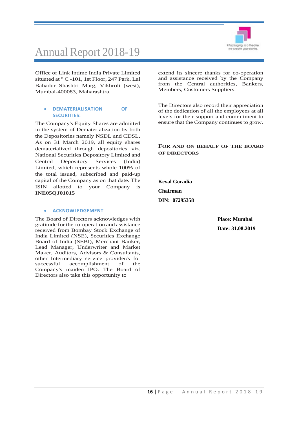

Office of Link Intime India Private Limited situated at " C -101, 1st Floor, 247 Park, Lal Bahadur Shashtri Marg, Vikhroli (west), Mumbai-400083, Maharashtra.

#### **DEMATERIALISATION OF SECURITIES:**

The Company's Equity Shares are admitted in the system of Dematerialization by both the Depositories namely NSDL and CDSL. As on 31 March 2019, all equity shares dematerialized through depositories viz. National Securities Depository Limited and Central Depository Services (India) Limited, which represents whole 100% of the total issued, subscribed and paid-up capital of the Company as on that date. The ISIN allotted to your Company is **INE05QJ01015**

#### **ACKNOWLEDGEMENT**

The Board of Directors acknowledges with gratitude for the co-operation and assistance received from Bombay Stock Exchange of India Limited (NSE), Securities Exchange Board of India (SEBI), Merchant Banker, Lead Manager, Underwriter and Market Maker, Auditors, Advisors & Consultants, other Intermediary service provider/s for successful accomplishment of the Company's maiden IPO. The Board of Directors also take this opportunity to

extend its sincere thanks for co-operation and assistance received by the Company from the Central authorities, Bankers, Members, Customers Suppliers.

The Directors also record their appreciation of the dedication of all the employees at all levels for their support and commitment to ensure that the Company continues to grow.

#### **FOR AND ON BEHALF OF THE BOARD OF DIRECTORS**

**Keval Goradia** 

**Chairman** 

**DIN: 07295358** 

**Place: Mumbai Date: 31.08.2019**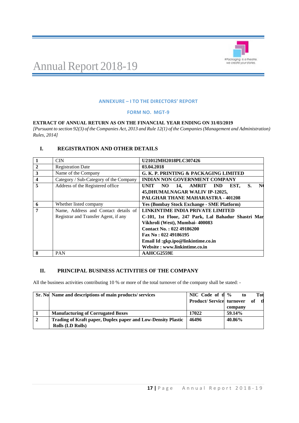

#### **ANNEXURE – I TO THE DIRECTORS' REPORT**

#### **FORM NO. MGT‐9**

#### **EXTRACT OF ANNUAL RETURN AS ON THE FINANCIAL YEAR ENDING ON 31/03/2019**

*[Pursuant to section 92(3) of the Companies Act, 2013 and Rule 12(1) of the Companies (Management and Administration) Rules, 2014]* 

#### **I. REGISTRATION AND OTHER DETAILS**

| $\vert$ 1               | <b>CIN</b>                             | U21012MH2018PLC307426                                 |  |  |
|-------------------------|----------------------------------------|-------------------------------------------------------|--|--|
| $\overline{2}$          | <b>Registration Date</b>               | 03.04.2018                                            |  |  |
| $\overline{\mathbf{3}}$ | Name of the Company                    | G. K. P. PRINTING & PACKAGING LIMITED                 |  |  |
| $\overline{\mathbf{4}}$ | Category / Sub-Category of the Company | <b>INDIAN NON GOVERNMENT COMPANY</b>                  |  |  |
| 5                       | Address of the Registered office       | N <sub>0</sub><br>UNIT NO 14, AMRIT IND<br>EST.<br>S. |  |  |
|                         |                                        | 45, DHUMALNAGAR WALIV IP-12025,                       |  |  |
|                         |                                        | <b>PALGHAR THANE MAHARASTRA - 401208</b>              |  |  |
| 6                       | Whether listed company                 | <b>Yes (Bombay Stock Exchange - SME Platform)</b>     |  |  |
| 7                       | Name, Address and Contact details of   | LINKINTIME INDIA PRIVATE LIMITED                      |  |  |
|                         | Registrar and Transfer Agent, if any   | C-101, 1st Floor, 247 Park, Lal Bahadur Shastri Mar   |  |  |
|                         |                                        | Vikhroli (West), Mumbai- 400083                       |  |  |
|                         |                                        | Contact No.: 022 49186200                             |  |  |
|                         |                                        | Fax No: 022 49186195                                  |  |  |
|                         |                                        | Email Id:gkp.ipo@linkintime.co.in                     |  |  |
|                         |                                        | Website: www.linkintime.co.in                         |  |  |
| 8                       | PAN                                    | AAHCG2559E                                            |  |  |

#### **II. PRINCIPAL BUSINESS ACTIVITIES OF THE COMPANY**

All the business activities contributing 10 % or more of the total turnover of the company shall be stated: -

| Sr. No Name and descriptions of main products/services       | NIC Code of $t\mathbf{l}$ %     | to      | Tot        |
|--------------------------------------------------------------|---------------------------------|---------|------------|
|                                                              | <b>Product/Service turnover</b> |         | $-t$<br>of |
|                                                              |                                 | company |            |
| <b>Manufacturing of Corrugated Boxes</b>                     | 17022                           | 59.14%  |            |
| Trading of Kraft paper, Duplex paper and Low-Density Plastic | 46496                           | 40.86%  |            |
| <b>Rolls (LD Rolls)</b>                                      |                                 |         |            |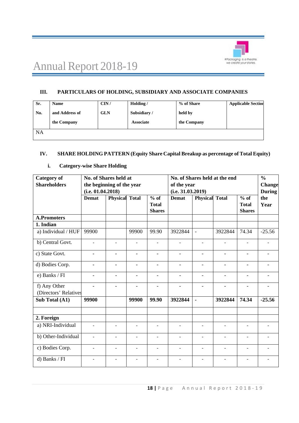

#### **III. PARTICULARS OF HOLDING, SUBSIDIARY AND ASSOCIATE COMPANIES**

| Sr.       | <b>Name</b>    | CIN/       | Holding /        | % of Share  | <b>Applicable Section</b> |
|-----------|----------------|------------|------------------|-------------|---------------------------|
| No.       | and Address of | <b>GLN</b> | Subsidiary /     | held by     |                           |
|           | the Company    |            | <b>Associate</b> | the Company |                           |
| <b>NA</b> |                |            |                  |             |                           |

#### **IV. SHARE HOLDING PATTERN (Equity Share Capital Breakup as percentage of Total Equity)**

| <b>Category</b> of    |                          | No. of Shares held at     |                          |                          |                          |                          | No. of Shares held at the end |                          | $\frac{0}{0}$            |
|-----------------------|--------------------------|---------------------------|--------------------------|--------------------------|--------------------------|--------------------------|-------------------------------|--------------------------|--------------------------|
| <b>Shareholders</b>   |                          | the beginning of the year |                          |                          | of the year              |                          | <b>Change</b>                 |                          |                          |
|                       | (i.e. 01.04.2018)        |                           |                          |                          | (i.e. 31.03.2019)        | <b>During</b>            |                               |                          |                          |
|                       | <b>Demat</b>             | <b>Physical Total</b>     |                          | $%$ of                   | <b>Demat</b>             | <b>Physical Total</b>    |                               | $%$ of                   | the                      |
|                       |                          |                           |                          | <b>Total</b>             |                          |                          |                               | <b>Total</b>             | Year                     |
|                       |                          |                           |                          | <b>Shares</b>            |                          |                          |                               | <b>Shares</b>            |                          |
| <b>A.Promoters</b>    |                          |                           |                          |                          |                          |                          |                               |                          |                          |
| 1. Indian             |                          |                           |                          |                          |                          |                          |                               |                          |                          |
| a) Individual / HUF   | 99900                    |                           | 99900                    | 99.90                    | 3922844                  | $\overline{\phantom{a}}$ | 3922844                       | 74.34                    | $-25.56$                 |
| b) Central Govt.      | $\overline{\phantom{a}}$ | $\blacksquare$            | $\overline{\phantom{a}}$ | $\blacksquare$           | $\blacksquare$           | $\overline{\phantom{a}}$ | $\blacksquare$                | $\blacksquare$           | $\overline{\phantom{0}}$ |
| c) State Govt.        | $\overline{\phantom{a}}$ | $\overline{\phantom{0}}$  | $\overline{\phantom{0}}$ | $\overline{\phantom{a}}$ | $\overline{\phantom{0}}$ | $\overline{a}$           | $\overline{\phantom{0}}$      | $\overline{\phantom{0}}$ | $\overline{\phantom{0}}$ |
| d) Bodies Corp.       | $\overline{\phantom{0}}$ | $\overline{a}$            | $\overline{a}$           | $\overline{a}$           |                          | $\overline{a}$           | $\overline{a}$                | $\overline{a}$           |                          |
| e) Banks / FI         | $\overline{\phantom{0}}$ |                           | $\overline{a}$           |                          |                          | $\overline{a}$           |                               | $\overline{\phantom{0}}$ |                          |
| f) Any Other          | $\overline{\phantom{0}}$ | $\overline{a}$            | $\overline{a}$           | $\overline{\phantom{a}}$ | $\overline{\phantom{0}}$ | $\overline{a}$           | $\overline{\phantom{a}}$      | $\overline{\phantom{0}}$ |                          |
| (Directors' Relatives |                          |                           |                          |                          |                          |                          |                               |                          |                          |
| Sub Total (A1)        | 99900                    |                           | 99900                    | 99.90                    | 3922844                  | $\blacksquare$           | 3922844                       | 74.34                    | $-25.56$                 |
|                       |                          |                           |                          |                          |                          |                          |                               |                          |                          |
| 2. Foreign            |                          |                           |                          |                          |                          |                          |                               |                          |                          |
| a) NRI-Individual     | $\overline{\phantom{a}}$ | $\ddot{\phantom{1}}$      | $\blacksquare$           | $\blacksquare$           | $\blacksquare$           | $\blacksquare$           | $\overline{\phantom{a}}$      | $\blacksquare$           | $\overline{\phantom{a}}$ |
| b) Other-Individual   | L.                       |                           | $\blacksquare$           |                          |                          | $\blacksquare$           |                               | $\blacksquare$           |                          |
| c) Bodies Corp.       | $\overline{\phantom{a}}$ | $\overline{\phantom{a}}$  | $\overline{\phantom{a}}$ | $\blacksquare$           | $\blacksquare$           | $\overline{a}$           | $\overline{\phantom{a}}$      | $\overline{\phantom{a}}$ | $\overline{a}$           |
| d) Banks / FI         | $\overline{a}$           | $\overline{a}$            | $\overline{\phantom{a}}$ | $\blacksquare$           | $\overline{a}$           | $\overline{\phantom{0}}$ | $\overline{a}$                | $\blacksquare$           | ÷                        |

#### **i. Category-wise Share Holding**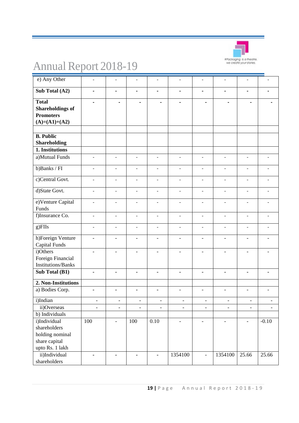

| e) Any Other                              | $\overline{a}$           | $\overline{a}$               | $\overline{a}$               |                          | $\overline{a}$               | $\overline{a}$               | $\overline{a}$               | $\overline{a}$               | L.                           |
|-------------------------------------------|--------------------------|------------------------------|------------------------------|--------------------------|------------------------------|------------------------------|------------------------------|------------------------------|------------------------------|
| Sub Total (A2)                            | $\blacksquare$           | $\qquad \qquad \blacksquare$ | $\blacksquare$               | $\blacksquare$           | $\blacksquare$               | $\qquad \qquad \blacksquare$ | $\blacksquare$               | $\blacksquare$               | $\qquad \qquad \blacksquare$ |
| <b>Total</b>                              | $\blacksquare$           | $\blacksquare$               | $\blacksquare$               | $\blacksquare$           | $\blacksquare$               | $\qquad \qquad \blacksquare$ | $\qquad \qquad \blacksquare$ | $\qquad \qquad \blacksquare$ |                              |
| <b>Shareholdings of</b>                   |                          |                              |                              |                          |                              |                              |                              |                              |                              |
| <b>Promoters</b>                          |                          |                              |                              |                          |                              |                              |                              |                              |                              |
| $(A)=(A1)+(A2)$                           |                          |                              |                              |                          |                              |                              |                              |                              |                              |
|                                           |                          |                              |                              |                          |                              |                              |                              |                              |                              |
| <b>B.</b> Public<br><b>Shareholding</b>   |                          |                              |                              |                          |                              |                              |                              |                              |                              |
| 1. Institutions                           |                          |                              |                              |                          |                              |                              |                              |                              |                              |
|                                           |                          |                              |                              |                          |                              |                              |                              |                              |                              |
| a)Mutual Funds                            | $\blacksquare$           | $\overline{a}$               | $\blacksquare$               | $\blacksquare$           | $\blacksquare$               | $\blacksquare$               | $\blacksquare$               | $\blacksquare$               | $\frac{1}{2}$                |
| b)Banks / FI                              | $\overline{\phantom{a}}$ | $\overline{a}$               | $\blacksquare$               | $\blacksquare$           | $\overline{a}$               | $\overline{a}$               | $\blacksquare$               | $\blacksquare$               | $\equiv$                     |
| c)Central Govt.                           | $\overline{a}$           | $\mathbf{r}$                 | $\blacksquare$               | $\overline{a}$           | $\overline{a}$               | $\overline{a}$               | $\ddot{\phantom{1}}$         | $\blacksquare$               |                              |
| d)State Govt.                             | ÷,                       | $\overline{a}$               | $\blacksquare$               | $\blacksquare$           | $\blacksquare$               | $\blacksquare$               | $\blacksquare$               | $\blacksquare$               | $\ddot{\phantom{1}}$         |
| e)Venture Capital<br>Funds                | $\frac{1}{2}$            | $\blacksquare$               | $\overline{\phantom{a}}$     | $\overline{\phantom{a}}$ | $\overline{\phantom{a}}$     | $\overline{\phantom{a}}$     | $\blacksquare$               | $\blacksquare$               | $\overline{\phantom{a}}$     |
| f)Insurance Co.                           | $\blacksquare$           | $\overline{a}$               | $\ddot{\phantom{a}}$         | $\overline{a}$           | L,                           | $\ddot{\phantom{1}}$         | $\ddot{\phantom{1}}$         | $\overline{\phantom{a}}$     |                              |
| $g$ )FIIs                                 | $\blacksquare$           | $\overline{a}$               | $\blacksquare$               | $\blacksquare$           | $\blacksquare$               | $\overline{\phantom{a}}$     | $\blacksquare$               | $\blacksquare$               | $\overline{a}$               |
| h)Foreign Venture<br><b>Capital Funds</b> | $\overline{\phantom{0}}$ | $\overline{\phantom{0}}$     | $\overline{\phantom{0}}$     | $\qquad \qquad -$        | $\overline{\phantom{0}}$     | $\overline{a}$               | $\qquad \qquad -$            | $\overline{\phantom{0}}$     | $\overline{a}$               |
| i)Others                                  |                          |                              |                              |                          |                              |                              |                              |                              |                              |
| Foreign Financial                         |                          |                              |                              |                          |                              |                              |                              |                              |                              |
| Institutions/Banks                        |                          |                              |                              |                          |                              |                              |                              |                              |                              |
| Sub Total (B1)                            | $\blacksquare$           | $\blacksquare$               | $\blacksquare$               | $\blacksquare$           | $\blacksquare$               | $\blacksquare$               | $\overline{a}$               | $\blacksquare$               | $\blacksquare$               |
| 2. Non-Institutions                       |                          |                              |                              |                          |                              |                              |                              |                              |                              |
| a) Bodies Corp.                           | $\blacksquare$           | $\blacksquare$               | $\blacksquare$               | $\blacksquare$           | $\qquad \qquad \blacksquare$ | $\overline{\phantom{a}}$     | $\overline{\phantom{m}}$     | $\overline{\phantom{a}}$     | $\overline{\phantom{0}}$     |
| i)Indian                                  | $\overline{\phantom{0}}$ | $\overline{\phantom{0}}$     | $\qquad \qquad \blacksquare$ | $\overline{\phantom{a}}$ | $\overline{\phantom{a}}$     | $\overline{\phantom{0}}$     | $\qquad \qquad \blacksquare$ | $\qquad \qquad \blacksquare$ | $\overline{\phantom{0}}$     |
| ii)Overseas                               | $\overline{\phantom{0}}$ | $\overline{\phantom{a}}$     | $\qquad \qquad -$            | $\blacksquare$           | $\overline{\phantom{0}}$     | $\overline{\phantom{a}}$     | $\overline{\phantom{0}}$     | $\overline{\phantom{a}}$     | $\qquad \qquad -$            |
| b) Individuals                            |                          |                              |                              |                          |                              |                              |                              |                              |                              |
| i)Individual                              | 100                      | $\overline{\phantom{0}}$     | 100                          | 0.10                     |                              | $\overline{\phantom{0}}$     |                              | $\overline{\phantom{0}}$     | $-0.10$                      |
| shareholders                              |                          |                              |                              |                          |                              |                              |                              |                              |                              |
| holding nominal                           |                          |                              |                              |                          |                              |                              |                              |                              |                              |
| share capital                             |                          |                              |                              |                          |                              |                              |                              |                              |                              |
| upto Rs. 1 lakh                           |                          |                              |                              |                          |                              |                              |                              |                              |                              |
| ii)Individual                             | $\blacksquare$           | $\blacksquare$               | $\blacksquare$               | $\blacksquare$           | 1354100                      | $\overline{\phantom{a}}$     | 1354100                      | 25.66                        | 25.66                        |
| shareholders                              |                          |                              |                              |                          |                              |                              |                              |                              |                              |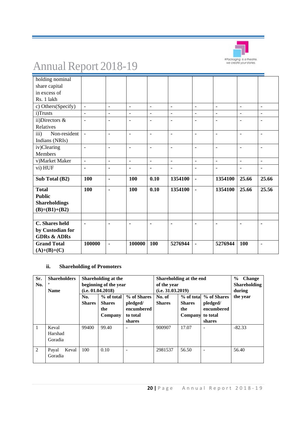

| holding nominal        |                          |                          |                          |                          |                          |                          |                          |                          |                          |
|------------------------|--------------------------|--------------------------|--------------------------|--------------------------|--------------------------|--------------------------|--------------------------|--------------------------|--------------------------|
| share capital          |                          |                          |                          |                          |                          |                          |                          |                          |                          |
| in excess of           |                          |                          |                          |                          |                          |                          |                          |                          |                          |
| Rs. 1 lakh             |                          |                          |                          |                          |                          |                          |                          |                          |                          |
| c) Others(Specify)     | $\overline{\phantom{a}}$ | $\overline{a}$           | $\overline{\phantom{a}}$ | $\overline{\phantom{a}}$ | $\overline{a}$           | $\overline{\phantom{0}}$ | $\overline{\phantom{a}}$ | $\overline{a}$           | $\overline{\phantom{a}}$ |
| i)Trusts               | $\overline{a}$           | $\overline{a}$           | $\overline{a}$           | $\overline{\phantom{a}}$ | $\overline{\phantom{a}}$ | $\overline{a}$           | $\overline{\phantom{a}}$ | $\overline{a}$           | $\overline{a}$           |
| ii)Directors &         | $\overline{a}$           | $\overline{a}$           | $\overline{\phantom{0}}$ | $\overline{\phantom{a}}$ | $\overline{\phantom{a}}$ | $\overline{a}$           | $\blacksquare$           | $\overline{\phantom{a}}$ | $\overline{\phantom{0}}$ |
| Relatives              |                          |                          |                          |                          |                          |                          |                          |                          |                          |
| iii)<br>Non-resident   | $\overline{\phantom{a}}$ | $\overline{a}$           | $\overline{a}$           | $\overline{\phantom{a}}$ | $\overline{\phantom{a}}$ | $\overline{a}$           | $\overline{\phantom{a}}$ | $\overline{a}$           | $\overline{a}$           |
| Indians (NRIs)         |                          |                          |                          |                          |                          |                          |                          |                          |                          |
| iv)Clearing            | $\overline{\phantom{a}}$ | $\overline{\phantom{a}}$ | $\overline{a}$           | $\overline{\phantom{a}}$ | $\qquad \qquad -$        | $\overline{\phantom{0}}$ | $\overline{\phantom{a}}$ | $\overline{a}$           | $\overline{\phantom{a}}$ |
| <b>Members</b>         |                          |                          |                          |                          |                          |                          |                          |                          |                          |
| v)Market Maker         | $\blacksquare$           | $\overline{a}$           | $\overline{\phantom{0}}$ | $\overline{\phantom{a}}$ | $\overline{\phantom{a}}$ | $\overline{\phantom{0}}$ | $\overline{\phantom{a}}$ | $\overline{a}$           | $\overline{a}$           |
| vi) HUF                | $\blacksquare$           | $\blacksquare$           | $\blacksquare$           | $\blacksquare$           | $\overline{\phantom{a}}$ | $\overline{a}$           | $\overline{\phantom{a}}$ | $\overline{\phantom{a}}$ | $\overline{\phantom{0}}$ |
| Sub Total (B2)         | 100                      | $\blacksquare$           | 100                      | 0.10                     | 1354100                  | $\blacksquare$           | 1354100                  | 25.66                    | 25.66                    |
| <b>Total</b>           | 100                      | $\blacksquare$           | 100                      | 0.10                     | 1354100                  | $\blacksquare$           | 1354100                  | 25.66                    | 25.56                    |
| <b>Public</b>          |                          |                          |                          |                          |                          |                          |                          |                          |                          |
| <b>Shareholdings</b>   |                          |                          |                          |                          |                          |                          |                          |                          |                          |
| $(B)=(B1)+(B2)$        |                          |                          |                          |                          |                          |                          |                          |                          |                          |
|                        |                          |                          |                          |                          |                          |                          |                          |                          |                          |
| C. Shares held         | $\blacksquare$           | $\blacksquare$           | $\blacksquare$           | $\blacksquare$           | $\blacksquare$           | $\blacksquare$           | $\blacksquare$           | $\blacksquare$           | $\blacksquare$           |
| by Custodian for       |                          |                          |                          |                          |                          |                          |                          |                          |                          |
| <b>GDRs &amp; ADRs</b> |                          |                          |                          |                          |                          |                          |                          |                          |                          |
| <b>Grand Total</b>     | 100000                   | ä,                       | 100000                   | 100                      | 5276944                  | $\blacksquare$           | 5276944                  | 100                      | $\overline{a}$           |
| $(A)+(B)+(C)$          |                          |                          |                          |                          |                          |                          |                          |                          |                          |

#### **ii. Shareholding of Promoters**

| Sr. | <b>Shareholders</b> |               | Shareholding at the   |                          |               | Shareholding at the end |                          | $\frac{6}{9}$<br><b>Change</b> |  |
|-----|---------------------|---------------|-----------------------|--------------------------|---------------|-------------------------|--------------------------|--------------------------------|--|
| No. |                     |               | beginning of the year |                          |               | of the year             |                          |                                |  |
|     | <b>Name</b>         |               | (i.e. 01.04.2018)     |                          |               | (i.e. 31.03.2019)       |                          |                                |  |
|     |                     | No.           | % of total            | % of Shares              | No. of        |                         | % of total % of Shares   | the year                       |  |
|     |                     | <b>Shares</b> | <b>Shares</b>         | pledged/                 | <b>Shares</b> | <b>Shares</b>           | pledged/                 |                                |  |
|     |                     |               | the                   | encumbered               |               | the                     | encumbered               |                                |  |
|     |                     |               | Company               | to total                 |               | Company                 | to total                 |                                |  |
|     |                     |               |                       | shares                   |               |                         | shares                   |                                |  |
| 1   | Keval               | 99400         | 99.40                 | $\blacksquare$           | 900907        | 17.07                   | ۰                        | $-82.33$                       |  |
|     | Harshad             |               |                       |                          |               |                         |                          |                                |  |
|     | Goradia             |               |                       |                          |               |                         |                          |                                |  |
|     |                     |               |                       |                          |               |                         |                          |                                |  |
| 2   | Keval<br>Payal      | 100           | 0.10                  | $\overline{\phantom{a}}$ | 2981537       | 56.50                   | $\overline{\phantom{0}}$ | 56.40                          |  |
|     | Goradia             |               |                       |                          |               |                         |                          |                                |  |
|     |                     |               |                       |                          |               |                         |                          |                                |  |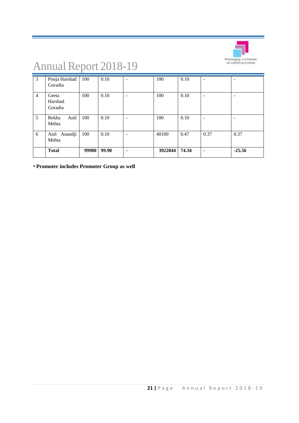

| 3              | Pooja Harshad<br>Goradia    | 100   | 0.10  | $\overline{\phantom{a}}$ | 100     | 0.10  | $\overline{\phantom{a}}$ |          |
|----------------|-----------------------------|-------|-------|--------------------------|---------|-------|--------------------------|----------|
| $\overline{4}$ | Geeta<br>Harshad<br>Goradia | 100   | 0.10  | $\overline{\phantom{a}}$ | 100     | 0.10  | ۰                        |          |
| 5              | Anil<br>Rekha<br>Mehta      | 100   | 0.10  | $\overline{\phantom{a}}$ | 100     | 0.10  | $\overline{\phantom{0}}$ |          |
| 6              | Anil Anandji<br>Mehta       | 100   | 0.10  | $\overline{\phantom{a}}$ | 40100   | 0.47  | 0.37                     | 0.37     |
|                | <b>Total</b>                | 99900 | 99.90 | $\blacksquare$           | 3922844 | 74.34 | ٠                        | $-25.56$ |

*\** **Promoter includes Promoter Group as well**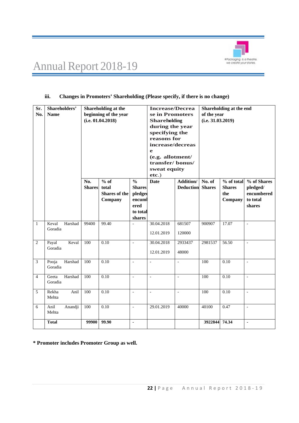

| Sr.<br>No.     | Shareholders'<br><b>Name</b> |                      | Shareholding at the<br>beginning of the year<br>(i.e. 01.04.2018) |                                                                                  | <b>Increase/Decrea</b><br>se in Promoters<br><b>Shareholding</b><br>during the year<br>specifying the<br>reasons for<br>increase/decreas<br>e<br>(e.g. allotment/<br>transfer/bonus/<br>sweat equity<br>$etc.$ ) |                                      | of the year<br>(i.e. 31.03.2019) | Shareholding at the end                                              |                                                             |
|----------------|------------------------------|----------------------|-------------------------------------------------------------------|----------------------------------------------------------------------------------|------------------------------------------------------------------------------------------------------------------------------------------------------------------------------------------------------------------|--------------------------------------|----------------------------------|----------------------------------------------------------------------|-------------------------------------------------------------|
|                |                              | No.<br><b>Shares</b> | $%$ of<br>total<br>Shares of the<br>Company                       | $\frac{0}{0}$<br><b>Shares</b><br>pledge<br>encuml<br>ered<br>to total<br>shares | <b>Date</b>                                                                                                                                                                                                      | Addition/<br><b>Deduction</b> Shares | No. of                           | $\overline{\frac{9}{6}}$ of total<br><b>Shares</b><br>the<br>Company | % of Shares<br>pledged/<br>encumbered<br>to total<br>shares |
| $\mathbf{1}$   | Keval<br>Harshad<br>Goradia  | 99400                | 99.40                                                             | $\overline{\phantom{a}}$                                                         | 30.04.2018<br>12.01.2019                                                                                                                                                                                         | 681507<br>120000                     | 900907                           | 17.07                                                                | $\overline{\phantom{a}}$                                    |
| 2              | Payal<br>Keval<br>Goradia    | 100                  | 0.10                                                              | $\overline{\phantom{a}}$                                                         | 30.04.2018<br>12.01.2019                                                                                                                                                                                         | 2933437<br>48000                     | 2981537                          | 56.50                                                                | $\Box$                                                      |
| $\overline{3}$ | Pooja<br>Harshad<br>Goradia  | 100                  | 0.10                                                              | $\omega$                                                                         | $\overline{a}$                                                                                                                                                                                                   | $\overline{a}$                       | 100                              | 0.10                                                                 | $\overline{a}$                                              |
| $\overline{4}$ | Geeta<br>Harshad<br>Goradia  | 100                  | 0.10                                                              | $\omega$                                                                         | $\overline{a}$                                                                                                                                                                                                   | $\overline{a}$                       | 100                              | 0.10                                                                 | $\overline{a}$                                              |
| 5              | Rekha<br>Anil<br>Mehta       | 100                  | 0.10                                                              | $\overline{\phantom{a}}$                                                         | $\overline{a}$                                                                                                                                                                                                   | $\frac{1}{2}$                        | $\overline{100}$                 | 0.10                                                                 | $\mathbb{Z}^2$                                              |
| 6              | Anandji<br>Anil<br>Mehta     | 100                  | 0.10                                                              | $\overline{\phantom{a}}$                                                         | 29.01.2019                                                                                                                                                                                                       | 40000                                | 40100                            | 0.47                                                                 | $\frac{1}{2}$                                               |
|                | <b>Total</b>                 | 99900                | 99.90                                                             | $\blacksquare$                                                                   |                                                                                                                                                                                                                  |                                      | 3922844                          | 74.34                                                                | $\blacksquare$                                              |

#### **iii. Changes in Promoters' Shareholding (Please specify, if there is no change)**

**\* Promoter includes Promoter Group as well.**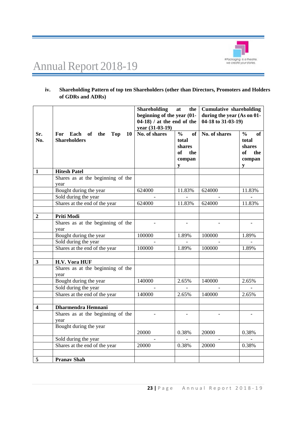

#### **iv. Shareholding Pattern of top ten Shareholders (other than Directors, Promoters and Holders of GDRs and ADRs)**

|                         |                                                                            | <b>Shareholding</b><br>beginning of the year (01-<br>$04-18$ / at the end of the<br>year (31-03-19) | the<br>at                                                                             | <b>Cumulative shareholding</b><br>during the year (As on 01-<br>04-18 to 31-03-19) |                                                                                       |
|-------------------------|----------------------------------------------------------------------------|-----------------------------------------------------------------------------------------------------|---------------------------------------------------------------------------------------|------------------------------------------------------------------------------------|---------------------------------------------------------------------------------------|
| Sr.<br>No.              | Each<br>of<br>the<br><b>Top</b><br><b>For</b><br>10<br><b>Shareholders</b> | No. of shares                                                                                       | $\frac{0}{0}$<br><sub>of</sub><br>total<br>shares<br>of<br>the<br>compan<br>${\bf y}$ | No. of shares                                                                      | $\frac{0}{0}$<br><sub>of</sub><br>total<br>shares<br>of<br>the<br>compan<br>${\bf y}$ |
| 1                       | <b>Hitesh Patel</b>                                                        |                                                                                                     |                                                                                       |                                                                                    |                                                                                       |
|                         | Shares as at the beginning of the<br>year                                  |                                                                                                     |                                                                                       |                                                                                    |                                                                                       |
|                         | Bought during the year                                                     | 624000                                                                                              | 11.83%                                                                                | 624000                                                                             | 11.83%                                                                                |
|                         | Sold during the year                                                       |                                                                                                     |                                                                                       |                                                                                    |                                                                                       |
|                         | Shares at the end of the year                                              | 624000                                                                                              | 11.83%                                                                                | 624000                                                                             | 11.83%                                                                                |
|                         |                                                                            |                                                                                                     |                                                                                       |                                                                                    |                                                                                       |
| $\overline{2}$          | Priti Modi<br>Shares as at the beginning of the<br>year                    |                                                                                                     |                                                                                       |                                                                                    |                                                                                       |
|                         | Bought during the year                                                     | 100000                                                                                              | 1.89%                                                                                 | 100000                                                                             | 1.89%                                                                                 |
|                         | Sold during the year                                                       |                                                                                                     |                                                                                       |                                                                                    |                                                                                       |
|                         | Shares at the end of the year                                              | 100000                                                                                              | 1.89%                                                                                 | 100000                                                                             | 1.89%                                                                                 |
| 3                       | H.V. Vora HUF                                                              |                                                                                                     |                                                                                       |                                                                                    |                                                                                       |
|                         | Shares as at the beginning of the<br>year                                  |                                                                                                     |                                                                                       |                                                                                    |                                                                                       |
|                         | Bought during the year                                                     | 140000                                                                                              | 2.65%                                                                                 | 140000                                                                             | 2.65%                                                                                 |
|                         | Sold during the year                                                       |                                                                                                     |                                                                                       |                                                                                    |                                                                                       |
|                         | Shares at the end of the year                                              | 140000                                                                                              | 2.65%                                                                                 | 140000                                                                             | 2.65%                                                                                 |
| $\overline{\mathbf{4}}$ | Dharmendra Hemnani                                                         |                                                                                                     |                                                                                       |                                                                                    |                                                                                       |
|                         | Shares as at the beginning of the<br>year                                  |                                                                                                     |                                                                                       |                                                                                    |                                                                                       |
|                         | Bought during the year                                                     | 20000                                                                                               | 0.38%                                                                                 | 20000                                                                              | 0.38%                                                                                 |
|                         | Sold during the year                                                       | $\overline{\phantom{a}}$                                                                            | $\overline{a}$                                                                        |                                                                                    |                                                                                       |
|                         | Shares at the end of the year                                              | 20000                                                                                               | 0.38%                                                                                 | 20000                                                                              | 0.38%                                                                                 |
| 5                       | <b>Pranav Shah</b>                                                         |                                                                                                     |                                                                                       |                                                                                    |                                                                                       |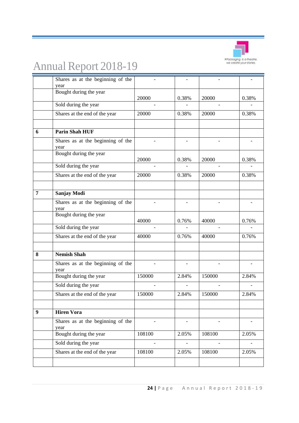

|                  | Shares as at the beginning of the<br>year |        |       |        |       |
|------------------|-------------------------------------------|--------|-------|--------|-------|
|                  | Bought during the year                    | 20000  | 0.38% | 20000  | 0.38% |
|                  | Sold during the year                      |        |       |        |       |
|                  | Shares at the end of the year             | 20000  | 0.38% | 20000  | 0.38% |
| 6                | <b>Parin Shah HUF</b>                     |        |       |        |       |
|                  | Shares as at the beginning of the<br>year |        |       |        |       |
|                  | Bought during the year                    | 20000  | 0.38% | 20000  | 0.38% |
|                  | Sold during the year                      |        |       |        |       |
|                  | Shares at the end of the year             | 20000  | 0.38% | 20000  | 0.38% |
| 7                | Sanjay Modi                               |        |       |        |       |
|                  | Shares as at the beginning of the<br>year |        |       |        |       |
|                  | Bought during the year                    | 40000  | 0.76% | 40000  | 0.76% |
|                  | Sold during the year                      |        |       |        |       |
|                  | Shares at the end of the year             | 40000  | 0.76% | 40000  | 0.76% |
| 8                | <b>Nemish Shah</b>                        |        |       |        |       |
|                  | Shares as at the beginning of the<br>year |        |       |        |       |
|                  | Bought during the year                    | 150000 | 2.84% | 150000 | 2.84% |
|                  | Sold during the year                      |        |       |        |       |
|                  | Shares at the end of the year             | 150000 | 2.84% | 150000 | 2.84% |
| $\boldsymbol{9}$ | <b>Hiren Vora</b>                         |        |       |        |       |
|                  | Shares as at the beginning of the<br>year |        |       |        |       |
|                  | Bought during the year                    | 108100 | 2.05% | 108100 | 2.05% |
|                  | Sold during the year                      |        |       |        |       |
|                  | Shares at the end of the year             | 108100 | 2.05% | 108100 | 2.05% |
|                  |                                           |        |       |        |       |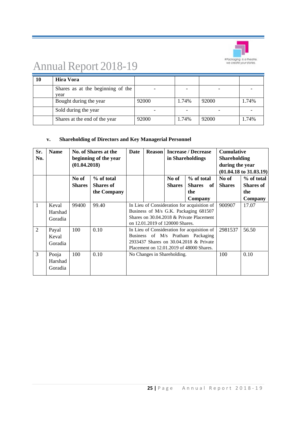

| 10 | Hira Vora                                 |       |       |       |      |
|----|-------------------------------------------|-------|-------|-------|------|
|    | Shares as at the beginning of the<br>vear |       |       |       |      |
|    | Bought during the year                    | 92000 | 1.74% | 92000 | .74% |
|    | Sold during the year                      |       |       |       |      |
|    | Shares at the end of the year             | 92000 | 1.74% | 92000 | .74% |

#### **v. Shareholding of Directors and Key Managerial Personnel**

| Sr.<br>No.     | <b>Name</b>                 | (01.04.2018)           | No. of Shares at the<br>beginning of the year | <b>Date</b>                                                                                                                                                                    | <b>Reason</b>                                                                                                                                                          | <b>Increase / Decrease</b><br>in Shareholdings |     | <b>Cumulative</b><br><b>Shareholding</b><br>during the year | $(01.04.18 \text{ to } 31.03.19)$     |
|----------------|-----------------------------|------------------------|-----------------------------------------------|--------------------------------------------------------------------------------------------------------------------------------------------------------------------------------|------------------------------------------------------------------------------------------------------------------------------------------------------------------------|------------------------------------------------|-----|-------------------------------------------------------------|---------------------------------------|
|                |                             | No of<br><b>Shares</b> | % of total<br><b>Shares of</b><br>the Company |                                                                                                                                                                                | No of<br>% of total<br><b>Shares</b><br><b>Shares</b><br>-of<br>the                                                                                                    |                                                |     | No of<br><b>Shares</b>                                      | % of total<br><b>Shares of</b><br>the |
| $\mathbf{1}$   | Keval<br>Harshad<br>Goradia | 99400                  | 99.40                                         | Company<br>In Lieu of Consideration for acquisition of<br>Business of M/s G.K. Packaging 681507<br>Shares on 30.04.2018 & Private Placement<br>on 12.01.2019 of 120000 Shares. |                                                                                                                                                                        |                                                |     | 900907                                                      | Company<br>17.07                      |
| $\overline{2}$ | Payal<br>Keval<br>Goradia   | 100                    | 0.10                                          |                                                                                                                                                                                | In Lieu of Consideration for acquisition of<br>Business of M/s Pratham Packaging<br>2933437 Shares on 30.04.2018 & Private<br>Placement on 12.01.2019 of 48000 Shares. |                                                |     |                                                             | 56.50                                 |
| 3              | Pooja<br>Harshad<br>Goradia | 100                    | 0.10                                          | No Changes in Shareholding.                                                                                                                                                    |                                                                                                                                                                        |                                                | 100 | 0.10                                                        |                                       |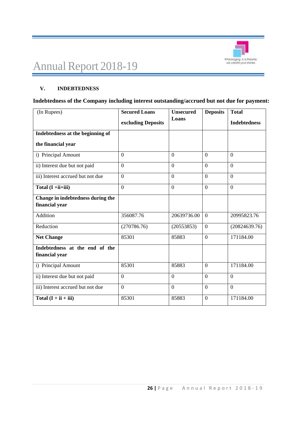

#### **V. INDEBTEDNESS**

#### **Indebtedness of the Company including interest outstanding/accrued but not due for payment:**

| (In Rupees)                                         | <b>Secured Loans</b> | <b>Unsecured</b> | <b>Deposits</b> | <b>Total</b>        |
|-----------------------------------------------------|----------------------|------------------|-----------------|---------------------|
|                                                     | excluding Deposits   | Loans            |                 | <b>Indebtedness</b> |
| Indebtedness at the beginning of                    |                      |                  |                 |                     |
| the financial year                                  |                      |                  |                 |                     |
| i) Principal Amount                                 | $\mathbf{0}$         | $\overline{0}$   | $\Omega$        | $\overline{0}$      |
| ii) Interest due but not paid                       | $\boldsymbol{0}$     | $\overline{0}$   | $\overline{0}$  | $\overline{0}$      |
| iii) Interest accrued but not due                   | $\overline{0}$       | $\overline{0}$   | $\overline{0}$  | $\overline{0}$      |
| $Total (I + ii + iii)$                              | $\mathbf{0}$         | $\overline{0}$   | $\overline{0}$  | $\overline{0}$      |
| Change in indebtedness during the<br>financial year |                      |                  |                 |                     |
| Addition                                            | 356087.76            | 20639736.00      | $\theta$        | 20995823.76         |
| Reduction                                           | (270786.76)          | (20553853)       | $\overline{0}$  | (20824639.76)       |
| <b>Net Change</b>                                   | 85301                | 85883            | $\overline{0}$  | 171184.00           |
| Indebtedness at the end of the<br>financial year    |                      |                  |                 |                     |
| i) Principal Amount                                 | 85301                | 85883            | $\overline{0}$  | 171184.00           |
| ii) Interest due but not paid                       | $\boldsymbol{0}$     | $\overline{0}$   | $\overline{0}$  | $\theta$            |
| iii) Interest accrued but not due                   | $\mathbf{0}$         | $\overline{0}$   | $\theta$        | $\overline{0}$      |
| Total $(I + ii + iii)$                              | 85301                | 85883            | $\overline{0}$  | 171184.00           |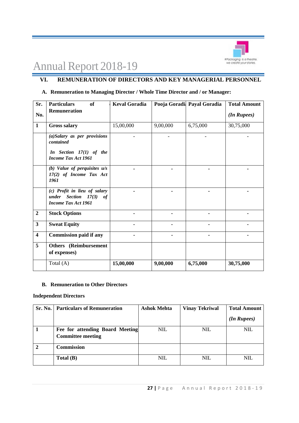

#### **VI. REMUNERATION OF DIRECTORS AND KEY MANAGERIAL PERSONNEL**

#### **A. Remuneration to Managing Director / Whole Time Director and / or Manager:**

| Sr.                     | <b>Particulars</b><br>of                                                               | <b>Keval Goradia</b> |          | Pooja Goradi Payal Goradia | <b>Total Amount</b> |
|-------------------------|----------------------------------------------------------------------------------------|----------------------|----------|----------------------------|---------------------|
| No.                     | Remuneration                                                                           |                      |          |                            | (In Rupees)         |
| 1                       | <b>Gross salary</b>                                                                    | 15,00,000            | 9,00,000 | 6,75,000                   | 30,75,000           |
|                         | (a)Salary as per provisions<br>contained                                               |                      |          |                            |                     |
|                         | In Section $17(1)$ of the<br><b>Income Tax Act 1961</b>                                |                      |          |                            |                     |
|                         | (b) Value of perquisites $u/s$<br>17(2) of Income Tax Act<br>1961                      |                      |          |                            |                     |
|                         | (c) Profit in lieu of salary<br>under Section $17(3)$ of<br><b>Income Tax Act 1961</b> |                      |          |                            |                     |
| $\overline{2}$          | <b>Stock Options</b>                                                                   |                      |          |                            |                     |
| $\overline{\mathbf{3}}$ | <b>Sweat Equity</b>                                                                    |                      |          |                            |                     |
| $\overline{\mathbf{4}}$ | <b>Commission paid if any</b>                                                          |                      |          |                            |                     |
| 5                       | <b>Others</b> (Reimbursement<br>of expenses)                                           |                      |          |                            |                     |
|                         | Total (A)                                                                              | 15,00,000            | 9,00,000 | 6,75,000                   | 30,75,000           |

#### **B. Remuneration to Other Directors**

#### **Independent Directors**

| <b>Sr. No.   Particulars of Remuneration</b> | <b>Ashok Mehta</b> | <b>Vinay Tekriwal</b> | <b>Total Amount</b> |
|----------------------------------------------|--------------------|-----------------------|---------------------|
|                                              |                    |                       | $(In$ Rupees $)$    |
| Fee for attending Board Meeting              | <b>NIL</b>         | <b>NIL</b>            | <b>NIL</b>          |
| <b>Committee meeting</b>                     |                    |                       |                     |
| <b>Commission</b>                            |                    |                       |                     |
| Total (B)                                    | <b>NIL</b>         | <b>NIL</b>            | NIL                 |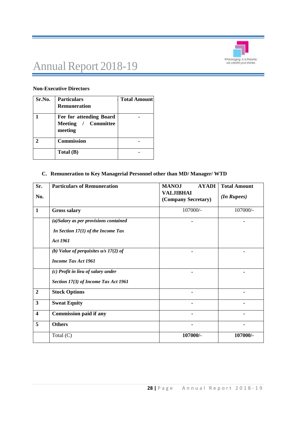

#### **Non-Executive Directors**

| Sr.No. | <b>Particulars</b><br><b>Remuneration</b>                 | <b>Total Amount</b> |
|--------|-----------------------------------------------------------|---------------------|
|        | Fee for attending Board<br>Meeting / Committee<br>meeting |                     |
|        | <b>Commission</b>                                         |                     |
|        | Total (B)                                                 |                     |

#### **C. Remuneration to Key Managerial Personnel other than MD/ Manager/ WTD**

| Sr.                     | <b>Particulars of Remuneration</b>                                                        | <b>MANOJ</b><br><b>AYADI</b>            | <b>Total Amount</b> |
|-------------------------|-------------------------------------------------------------------------------------------|-----------------------------------------|---------------------|
| No.                     |                                                                                           | <b>VALJIBHAI</b><br>(Company Secretary) | (In Rupees)         |
| $\mathbf{1}$            | <b>Gross salary</b>                                                                       | 107000/-                                | 107000/-            |
|                         | (a)Salary as per provisions contained<br>In Section $17(1)$ of the Income Tax<br>Act 1961 |                                         |                     |
|                         | (b) Value of perquisites $u/s$ 17(2) of<br><b>Income Tax Act 1961</b>                     |                                         |                     |
|                         | (c) Profit in lieu of salary under<br>Section 17(3) of Income Tax Act 1961                |                                         |                     |
| $\overline{2}$          | <b>Stock Options</b>                                                                      |                                         |                     |
| 3                       | <b>Sweat Equity</b>                                                                       |                                         |                     |
| $\overline{\mathbf{4}}$ | <b>Commission paid if any</b>                                                             |                                         |                     |
| 5                       | <b>Others</b>                                                                             |                                         |                     |
|                         | Total (C)                                                                                 | 107000/-                                | 107000/-            |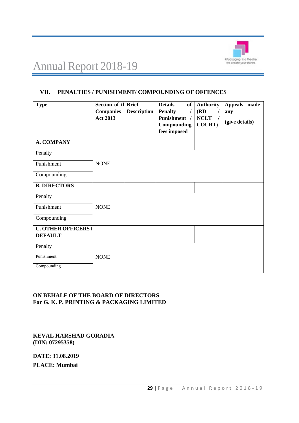

#### **VII. PENALTIES / PUNISHMENT/ COMPOUNDING OF OFFENCES**

| <b>Type</b>                                  | Section of the Brief<br><b>Companies</b><br><b>Act 2013</b> | <b>Description</b> | <b>Details</b><br>of<br><b>Penalty</b><br>$\prime$<br><b>Punishment</b><br>$\sqrt{ }$<br>Compounding<br>fees imposed | <b>Authority</b><br>(RD)<br>$\prime$<br><b>NCLT</b><br>$\sqrt{ }$<br><b>COURT</b> ) | Appeals made<br>any<br>(give details) |
|----------------------------------------------|-------------------------------------------------------------|--------------------|----------------------------------------------------------------------------------------------------------------------|-------------------------------------------------------------------------------------|---------------------------------------|
| A. COMPANY                                   |                                                             |                    |                                                                                                                      |                                                                                     |                                       |
| Penalty                                      |                                                             |                    |                                                                                                                      |                                                                                     |                                       |
| Punishment                                   | <b>NONE</b>                                                 |                    |                                                                                                                      |                                                                                     |                                       |
| Compounding                                  |                                                             |                    |                                                                                                                      |                                                                                     |                                       |
| <b>B. DIRECTORS</b>                          |                                                             |                    |                                                                                                                      |                                                                                     |                                       |
| Penalty                                      |                                                             |                    |                                                                                                                      |                                                                                     |                                       |
| Punishment                                   | <b>NONE</b>                                                 |                    |                                                                                                                      |                                                                                     |                                       |
| Compounding                                  |                                                             |                    |                                                                                                                      |                                                                                     |                                       |
| <b>C. OTHER OFFICERS I</b><br><b>DEFAULT</b> |                                                             |                    |                                                                                                                      |                                                                                     |                                       |
| Penalty                                      |                                                             |                    |                                                                                                                      |                                                                                     |                                       |
| Punishment                                   | <b>NONE</b>                                                 |                    |                                                                                                                      |                                                                                     |                                       |
| Compounding                                  |                                                             |                    |                                                                                                                      |                                                                                     |                                       |

#### **ON BEHALF OF THE BOARD OF DIRECTORS For G. K. P. PRINTING & PACKAGING LIMITED**

#### **KEVAL HARSHAD GORADIA (DIN: 07295358)**

**DATE: 31.08.2019 PLACE: Mumbai**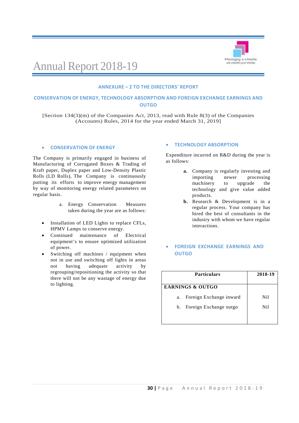

#### **ANNEXURE – 2 TO THE DIRECTORS' REPORT**

#### **CONSERVATION OF ENERGY, TECHNOLOGY ABSORPTION AND FOREIGN EXCHANGE EARNINGS AND OUTGO**

[Section 134(3)(m) of the Companies Act, 2013, read with Rule 8(3) of the Companies (Accounts) Rules, 2014 for the year ended March 31, 2019]

#### **CONSERVATION OF ENERGY**

The Company is primarily engaged in business of Manufacturing of Corrugated Boxes & Trading of Kraft paper, Duplex paper and Low-Density Plastic Rolls (LD Rolls), The Company is continuously putting its efforts to improve energy management by way of monitoring energy related parameters on regular basis.

- a. Energy Conservation Measures taken during the year are as follows:
- Installation of LED Lights to replace CFLs, HPMV Lamps to conserve energy.
- Continued maintenance of Electrical equipment's to ensure optimized utilization of power.
- Switching off machines / equipment when not in use and switching off lights in areas not having adequate activity by regrouping/repositioning the activity so that there will not be any wastage of energy due to lighting.

#### **TECHNOLOGY ABSORPTION**

Expenditure incurred on R&D during the year is as follows:

- **a.** Company is regularly investing and importing newer processing machinery to upgrade the technology and give value added products.
- **b.** Research & Development is in a regular process. Your company has hired the best of consultants in the industry with whom we have regular interactions.

#### **FOREIGN EXCHANGE EARNINGS AND OUTGO**

|                             | <b>Particulars</b>      | 2018-19 |
|-----------------------------|-------------------------|---------|
| <b>EARNINGS &amp; OUTGO</b> |                         |         |
| a.                          | Foreign Exchange inward | Ni1     |
| b.                          | Foreign Exchange outgo  | Ni1     |
|                             |                         |         |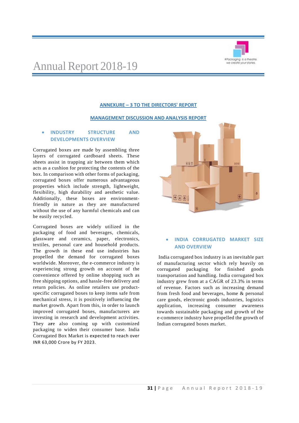

#### **ANNEXURE – 3 TO THE DIRECTORS' REPORT**

#### **MANAGEMENT DISCUSSION AND ANALYSIS REPORT**

#### **INDUSTRY STRUCTURE AND DEVELOPMENTS OVERVIEW**

Corrugated boxes are made by assembling three layers of corrugated cardboard sheets. These sheets assist in trapping air between them which acts as a cushion for protecting the contents of the box. In comparison with other forms of packaging, corrugated boxes offer numerous advantageous properties which include strength, lightweight, flexibility, high durability and aesthetic value. Additionally, these boxes are environmentfriendly in nature as they are manufactured without the use of any harmful chemicals and can be easily recycled.

Corrugated boxes are widely utilized in the packaging of food and beverages, chemicals, glassware and ceramics, paper, electronics, textiles, personal care and household products. The growth in these end use industries has propelled the demand for corrugated boxes worldwide. Moreover, the e-commerce industry is experiencing strong growth on account of the convenience offered by online shopping such as free shipping options, and hassle-free delivery and return policies. As online retailers use productspecific corrugated boxes to keep items safe from mechanical stress, it is positively influencing the market growth. Apart from this, in order to launch improved corrugated boxes, manufacturers are investing in research and development activities. They a**r**e also coming up with customized packaging to widen their consumer base. India Corrugated Box Market is expected to reach over INR 63,000 Crore by FY 2023.



#### **INDIA CORRUGATED MARKET SIZE AND OVERVIEW**

 India corrugated box industry is an inevitable part of manufacturing sector which rely heavily on corrugated packaging for finished goods transportation and handling. India corrugated box industry grew from at a CAGR of 23.3% in terms of revenue. Factors such as increasing demand from fresh food and beverages, home & personal care goods, electronic goods industries, logistics application, increasing consumer awareness towards sustainable packaging and growth of the e-commerce industry have propelled the growth of Indian corrugated boxes market.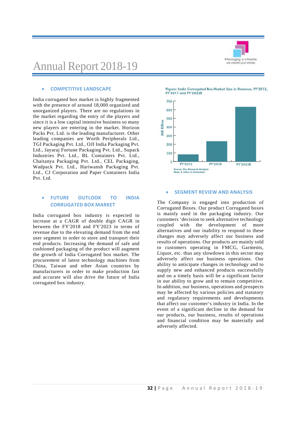

#### **COMPETITIVE LANDSCAPE**

India corrugated box market is highly fragmented with the presence of around 18,000 organized and unorganized players. There are no regulations in the market regarding the entry of the players and since it is a low capital intensive business so many new players are entering in the market. Horizon Packs Pvt. Ltd. is the leading manufacturer. Other leading companies are Worth Peripherals Ltd., TGI Packaging Pvt. Ltd., OJI India Packaging Pvt. Ltd., Jayaraj Fortune Packaging Pvt. Ltd., Supack Industries Pvt. Ltd., BL Containers Pvt. Ltd., Chaitanya Packaging Pvt. Ltd., CEL Packaging, Wadpack Pvt. Ltd., Hariwansh Packaging Pvt. Ltd., CJ Corporation and Paper Containers India Pvt. Ltd.

#### **FUTURE OUTLOOK TO INDIA CORRUGATED BOX MARKET**

India corrugated box industry is expected to increase at a CAGR of double digit CAGR in between the FY'2018 and FY'2023 in terms of revenue due to the elevating demand from the end user segment in order to store and transport their end products. Increasing the demand of safe and cushioned packaging of the product will augment the growth of India Corrugated box market. The procurement of latest technology machines from China, Taiwan and other Asian countries by manufacturers in order to make production fast and accurate will also drive the future of India corrugated box industry.

Figure: India Corrugated Box Market Size in Revenue, FY'2012, FY'2017 and FY'2023E



#### **SEGMENT REVIEW AND ANALYSIS**

The Company is engaged into production of Corrugated Boxes. Our product Corrugated boxes is mainly used in the packaging industry. Our customers 'decision to seek alternative technology coupled with the development of more alternatives and our inability to respond to these changes may adversely affect our business and results of operations. Our products are mainly sold to customers operating in FMCG, Garments, Liquor, etc. thus any slowdown in this sector may adversely affect our business operations. Our ability to anticipate changes in technology and to supply new and enhanced products successfully and on a timely basis will be a significant factor in our ability to grow and to remain competitive. In addition, our business, operations and prospects may be affected by various policies and statutory and regulatory requirements and developments that affect our customer's industry in India. In the event of a significant decline in the demand for our products, our business, results of operations and financial condition may be materially and adversely affected.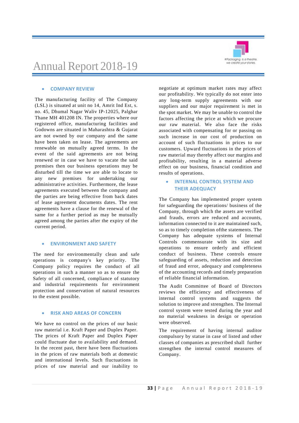

#### **COMPANY REVIEW**

The manufacturing facility of The Company (LSL) is situated at unit no 14, Amrit Ind Est, s. no. 45, Dhumal Nagar Waliv IP-12025, Palghar Thane MH 401208 IN. The properties where our registered office, manufacturing facilities and Godowns are situated in Maharashtra & Gujarat are not owned by our company and the same have been taken on lease. The agreements are renewable on mutually agreed terms. In the event of the said agreements are not being renewed or in case we have to vacate the said premises then our business operations may be disturbed till the time we are able to locate to any new premises for undertaking our administrative activities. Furthermore, the lease agreements executed between the company and the parties are being effective from back dates of lease agreement documents dates. The rent agreements have a clause for the renewal of the same for a further period as may be mutually agreed among the parties after the expiry of the current period.

#### **ENVIRONMENT AND SAFETY**

The need for environmentally clean and safe operations is company's key priority. The Company policy requires the conduct of all operations in such a manner so as to ensure the Safety of all concerned, compliance of statutory and industrial requirements for environment protection and conservation of natural resources to the extent possible.

#### **RISK AND AREAS OF CONCERN**

We have no control on the prices of our basic raw material i.e. Kraft Paper and Duplex Paper. The prices of Kraft Paper and Duplex Paper could fluctuate due to availability and demand. In the recent past, there have been fluctuations in the prices of raw materials both at domestic and international levels. Such fluctuations in prices of raw material and our inability to

negotiate at optimum market rates may affect our profitability. We typically do not enter into any long-term supply agreements with our suppliers and our major requirement is met in the spot market. We may be unable to control the factors affecting the price at which we procure our raw material. We also face the risks associated with compensating for or passing on such increase in our cost of production on account of such fluctuations in prices to our customers. Upward fluctuations in the prices of raw material may thereby affect our margins and profitability, resulting in a material adverse effect on our business, financial condition and results of operations.

#### **INTERNAL CONTROL SYSTEM AND THEIR ADEQUACY**

The Company has implemented proper system for safeguarding the operations/ business of the Company, through which the assets are verified and frauds, errors are reduced and accounts, information connected to it are maintained such, so as to timely completion ofthe statements. The Company has adequate systems of Internal Controls commensurate with its size and operations to ensure orderly and efficient conduct of business. These controls ensure safeguarding of assets, reduction and detection of fraud and error, adequacy and completeness of the accounting records and timely preparation of reliable financial information.

The Audit Committee of Board of Directors reviews the efficiency and effectiveness of internal control systems and suggests the solution to improve and strengthen. The Internal control system were tested during the year and no material weakness in design or operation were observed.

The requirement of having internal auditor compulsory by statue in case of listed and other classes of companies as prescribed shall further strengthen the internal control measures of Company.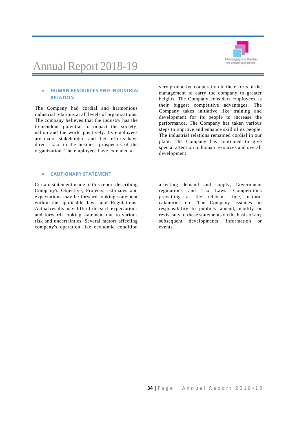

#### **HUMAN RESOURCES AND INDUSTRIAL RELATION**

The Company had cordial and harmonious industrial relations at all levels of organizations. The company believes that the industry has the tremendous potential to impact the society, nation and the world positively. Its employees are major stakeholders and their efforts have direct stake in the business prospectus of the organization. The employees have extended a

#### **CAUTIONARY STATEMENT**

Certain statement made in this report describing Company's Objective, Projects, estimates and expectations may be forward looking statement within the applicable laws and Regulations. Actual results may differ from such expectations and forward- looking statement due to various risk and uncertainties. Several factors affecting company's operation like economic condition

very productive cooperation in the efforts of the management to carry the company to greater heights. The Company considers employees as their biggest competitive advantages. The Company takes initiative like training and development for its people to increase the performance. The Company has taken various steps to improve and enhance skill of its people. The industrial relations remained cordial in our plant. The Company has continued to give special attention to human resources and overall development.

affecting demand and supply, Government regulations and Tax Laws, Competitions prevailing at the relevant time, natural calamities etc. The Company assumes no responsibility to publicly amend, modify or revise any of these statements on the basis of any subsequent developments, information or events.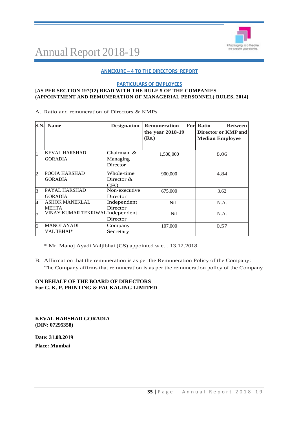

#### **ANNEXURE – 4 TO THE DIRECTORS' REPORT**

#### **PARTICULARS OF EMPLOYEES**

#### **[AS PER SECTION 197(12) READ WITH THE RULE 5 OF THE COMPANIES (APPOINTMENT AND REMUNERATION OF MANAGERIAL PERSONNEL) RULES, 2014]**

A. Ratio and remuneration of Directors & KMPs

| S.N.           | <b>Name</b>                      | <b>Designation</b>                 | <b>Remuneration</b><br>the year 2018-19<br>(Rs.) | <b>For Ratio</b><br><b>Between</b><br><b>Director or KMP and</b><br><b>Median Employee</b> |
|----------------|----------------------------------|------------------------------------|--------------------------------------------------|--------------------------------------------------------------------------------------------|
| $\mathbf{1}$   | KEVAL HARSHAD<br><b>GORADIA</b>  | Chairman &<br>Managing<br>Director | 1,500,000                                        | 8.06                                                                                       |
| $\overline{2}$ | POOJA HARSHAD<br><b>GORADIA</b>  | Whole-time<br>Director $&$<br>CFO  | 900,000                                          | 4.84                                                                                       |
| B              | PAYAL HARSHAD<br>GORADIA         | Non-executive<br>Director          | 675,000                                          | 3.62                                                                                       |
| $\overline{4}$ | ASHOK MANEKLAL<br>MEHTA          | Independent<br><b>Director</b>     | Nil                                              | N.A.                                                                                       |
| 5              | VINAY KUMAR TEKRIWAL Independent | Director                           | Nil                                              | N.A.                                                                                       |
| 6              | <b>MANOJ AYADI</b><br>VALJIBHAI* | Company<br>Secretary               | 107,000                                          | 0.57                                                                                       |

\* Mr. Manoj Ayadi Valjibhai (CS) appointed w.e.f. 13.12.2018

B. Affirmation that the remuneration is as per the Remuneration Policy of the Company: The Company affirms that remuneration is as per the remuneration policy of the Company

#### **ON BEHALF OF THE BOARD OF DIRECTORS For G. K. P. PRINTING & PACKAGING LIMITED**

**KEVAL HARSHAD GORADIA (DIN: 07295358)** 

**Date: 31.08.2019** 

**Place: Mumbai**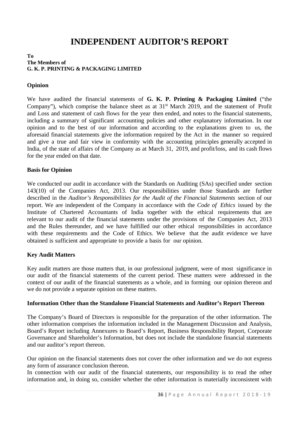### **INDEPENDENT AUDITOR'S REPORT**

#### **To The Members of G. K. P. PRINTING & PACKAGING LIMITED**

#### **Opinion**

We have audited the financial statements of **G. K. P. Printing & Packaging Limited** ("the Company"), which comprise the balance sheet as at 31<sup>st</sup> March 2019, and the statement of Profit and Loss and statement of cash flows for the year then ended, and notes to the financial statements, including a summary of significant accounting policies and other explanatory information. In our opinion and to the best of our information and according to the explanations given to us, the aforesaid financial statements give the information required by the Act in the manner so required and give a true and fair view in conformity with the accounting principles generally accepted in India, of the state of affairs of the Company as at March 31, 2019, and profit/loss, and its cash flows for the year ended on that date.

#### **Basis for Opinion**

We conducted our audit in accordance with the Standards on Auditing (SAs) specified under section 143(10) of the Companies Act, 2013. Our responsibilities under those Standards are further described in the *Auditor's Responsibilities for the Audit of the Financial Statements* section of our report. We are independent of the Company in accordance with the *Code of Ethics* issued by the Institute of Chartered Accountants of India together with the ethical requirements that are relevant to our audit of the financial statements under the provisions of the Companies Act, 2013 and the Rules thereunder, and we have fulfilled our other ethical responsibilities in accordance with these requirements and the Code of Ethics. We believe that the audit evidence we have obtained is sufficient and appropriate to provide a basis for our opinion.

#### **Key Audit Matters**

Key audit matters are those matters that, in our professional judgment, were of most significance in our audit of the financial statements of the current period. These matters were addressed in the context of our audit of the financial statements as a whole, and in forming our opinion thereon and we do not provide a separate opinion on these matters.

#### **Information Other than the Standalone Financial Statements and Auditor's Report Thereon**

The Company's Board of Directors is responsible for the preparation of the other information. The other information comprises the information included in the Management Discussion and Analysis, Board's Report including Annexures to Board's Report, Business Responsibility Report, Corporate Governance and Shareholder's Information, but does not include the standalone financial statements and our auditor's report thereon.

Our opinion on the financial statements does not cover the other information and we do not express any form of assurance conclusion thereon.

In connection with our audit of the financial statements, our responsibility is to read the other information and, in doing so, consider whether the other information is materially inconsistent with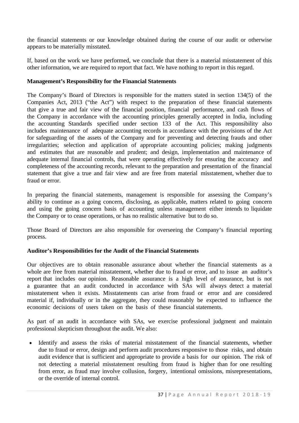the financial statements or our knowledge obtained during the course of our audit or otherwise appears to be materially misstated.

If, based on the work we have performed, we conclude that there is a material misstatement of this other information, we are required to report that fact. We have nothing to report in this regard.

# **Management's Responsibility for the Financial Statements**

The Company's Board of Directors is responsible for the matters stated in section 134(5) of the Companies Act, 2013 ("the Act") with respect to the preparation of these financial statements that give a true and fair view of the financial position, financial performance, and cash flows of the Company in accordance with the accounting principles generally accepted in India, including the accounting Standards specified under section 133 of the Act. This responsibility also includes maintenance of adequate accounting records in accordance with the provisions of the Act for safeguarding of the assets of the Company and for preventing and detecting frauds and other irregularities; selection and application of appropriate accounting policies; making judgments and estimates that are reasonable and prudent; and design, implementation and maintenance of adequate internal financial controls, that were operating effectively for ensuring the accuracy and completeness of the accounting records, relevant to the preparation and presentation of the financial statement that give a true and fair view and are free from material misstatement, whether due to fraud or error.

In preparing the financial statements, management is responsible for assessing the Company's ability to continue as a going concern, disclosing, as applicable, matters related to going concern and using the going concern basis of accounting unless management either intends to liquidate the Company or to cease operations, or has no realistic alternative but to do so.

Those Board of Directors are also responsible for overseeing the Company's financial reporting process.

# **Auditor's Responsibilities for the Audit of the Financial Statements**

Our objectives are to obtain reasonable assurance about whether the financial statements as a whole are free from material misstatement, whether due to fraud or error, and to issue an auditor's report that includes our opinion. Reasonable assurance is a high level of assurance, but is not a guarantee that an audit conducted in accordance with SAs will always detect a material misstatement when it exists. Misstatements can arise from fraud or error and are considered material if, individually or in the aggregate, they could reasonably be expected to influence the economic decisions of users taken on the basis of these financial statements.

As part of an audit in accordance with SAs, we exercise professional judgment and maintain professional skepticism throughout the audit. We also:

 Identify and assess the risks of material misstatement of the financial statements, whether due to fraud or error, design and perform audit procedures responsive to those risks, and obtain audit evidence that is sufficient and appropriate to provide a basis for our opinion. The risk of not detecting a material misstatement resulting from fraud is higher than for one resulting from error, as fraud may involve collusion, forgery, intentional omissions, misrepresentations, or the override of internal control.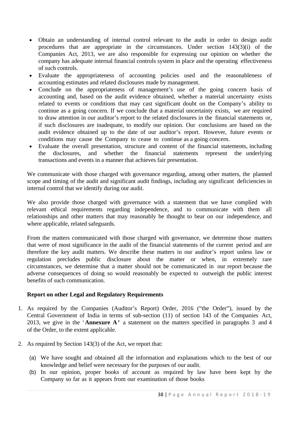- Obtain an understanding of internal control relevant to the audit in order to design audit procedures that are appropriate in the circumstances. Under section 143(3)(i) of the Companies Act, 2013, we are also responsible for expressing our opinion on whether the company has adequate internal financial controls system in place and the operating effectiveness of such controls.
- Evaluate the appropriateness of accounting policies used and the reasonableness of accounting estimates and related disclosures made by management.
- Conclude on the appropriateness of management's use of the going concern basis of accounting and, based on the audit evidence obtained, whether a material uncertainty exists related to events or conditions that may cast significant doubt on the Company's ability to continue as a going concern. If we conclude that a material uncertainty exists, we are required to draw attention in our auditor's report to the related disclosures in the financial statements or, if such disclosures are inadequate, to modify our opinion. Our conclusions are based on the audit evidence obtained up to the date of our auditor's report. However, future events or conditions may cause the Company to cease to continue as a going concern.
- Evaluate the overall presentation, structure and content of the financial statements, including the disclosures, and whether the financial statements represent the underlying transactions and events in a manner that achieves fair presentation.

We communicate with those charged with governance regarding, among other matters, the planned scope and timing of the audit and significant audit findings, including any significant deficiencies in internal control that we identify during our audit.

We also provide those charged with governance with a statement that we have complied with relevant ethical requirements regarding independence, and to communicate with them all relationships and other matters that may reasonably be thought to bear on our independence, and where applicable, related safeguards.

From the matters communicated with those charged with governance, we determine those matters that were of most significance in the audit of the financial statements of the current period and are therefore the key audit matters. We describe these matters in our auditor's report unless law or regulation precludes public disclosure about the matter or when, in extremely rare circumstances, we determine that a matter should not be communicated in our report because the adverse consequences of doing so would reasonably be expected to outweigh the public interest benefits of such communication.

# **Report on other Legal and Regulatory Requirements**

- 1. As required by the Companies (Auditor's Report) Order, 2016 ("the Order"), issued by the Central Government of India in terms of sub-section (11) of section 143 of the Companies Act, 2013, we give in the '**Annexure A'** a statement on the matters specified in paragraphs 3 and 4 of the Order, to the extent applicable.
- 2. As required by Section 143(3) of the Act, we report that:
	- (a) We have sought and obtained all the information and explanations which to the best of our knowledge and belief were necessary for the purposes of our audit.
	- (b) In our opinion, proper books of account as required by law have been kept by the Company so far as it appears from our examination of those books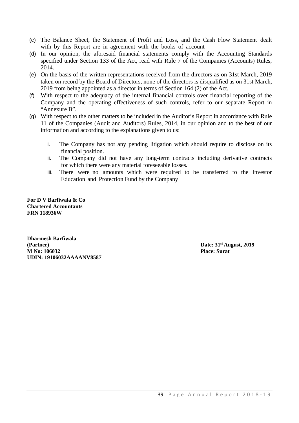- (c) The Balance Sheet, the Statement of Profit and Loss, and the Cash Flow Statement dealt with by this Report are in agreement with the books of account
- (d) In our opinion, the aforesaid financial statements comply with the Accounting Standards specified under Section 133 of the Act, read with Rule 7 of the Companies (Accounts) Rules, 2014.
- (e) On the basis of the written representations received from the directors as on 31st March, 2019 taken on record by the Board of Directors, none of the directors is disqualified as on 31st March, 2019 from being appointed as a director in terms of Section 164 (2) of the Act.
- (f) With respect to the adequacy of the internal financial controls over financial reporting of the Company and the operating effectiveness of such controls, refer to our separate Report in "Annexure B".
- (g) With respect to the other matters to be included in the Auditor's Report in accordance with Rule 11 of the Companies (Audit and Auditors) Rules, 2014, in our opinion and to the best of our information and according to the explanations given to us:
	- i. The Company has not any pending litigation which should require to disclose on its financial position.
	- ii. The Company did not have any long-term contracts including derivative contracts for which there were any material foreseeable losses*.*
	- iii. There were no amounts which were required to be transferred to the Investor Education and Protection Fund by the Company

**For D V Barfiwala & Co Chartered Accountants FRN 118936W** 

**Dharmesh Barfiwala (Partner) Date: 31st August, 2019 M No: 106032 Place: Surat UDIN: 19106032AAAANV8587**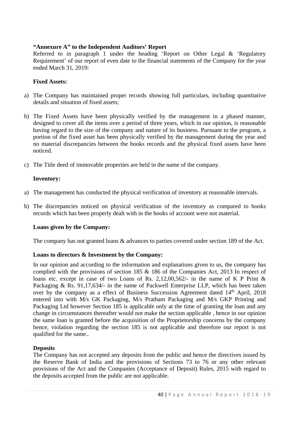# **"Annexure A" to the Independent Auditors' Report**

Referred to in paragraph 1 under the heading 'Report on Other Legal & 'Regulatory Requirement' of our report of even date to the financial statements of the Company for the year ended March 31, 2019:

# **Fixed Assets:**

- a) The Company has maintained proper records showing full particulars, including quantitative details and situation of fixed assets;
- b) The Fixed Assets have been physically verified by the management in a phased manner, designed to cover all the items over a period of three years, which in our opinion, is reasonable having regard to the size of the company and nature of its business. Pursuant to the program, a portion of the fixed asset has been physically verified by the management during the year and no material discrepancies between the books records and the physical fixed assets have been noticed.
- c) The Title deed of immovable properties are held in the name of the company.

# **Inventory:**

- a) The management has conducted the physical verification of inventory at reasonable intervals.
- b) The discrepancies noticed on physical verification of the inventory as compared to books records which has been properly dealt with in the books of account were not material.

# **Loans given by the Company:**

The company has not granted loans & advances to parties covered under section 189 of the Act.

# **Loans to directors & Investment by the Company:**

In our opinion and according to the information and explanations given to us, the company has complied with the provisions of section 185 & 186 of the Companies Act, 2013 In respect of loans etc. except in case of two Loans of Rs. 2,12,00,562/- in the name of K P Print & Packaging & Rs. 91,17,634/- in the name of Packwell Enterprise LLP, which has been taken over by the company as a effect of Business Succession Agreement dated 14<sup>th</sup> April, 2018 entered into with M/s GK Packaging, M/s Pratham Packaging and M/s GKP Printing and Packaging Ltd however Section 185 is applicable only at the time of granting the loan and any change in circumstances thereafter would not make the section applicable , hence in our opinion the same loan is granted before the acquisition of the Proprietorship concerns by the company hence, violation regarding the section 185 is not applicable and therefore our report is not qualified for the same..

# **Deposits**

The Company has not accepted any deposits from the public and hence the directives issued by the Reserve Bank of India and the provisions of Sections 73 to 76 or any other relevant provisions of the Act and the Companies (Acceptance of Deposit) Rules, 2015 with regard to the deposits accepted from the public are not applicable.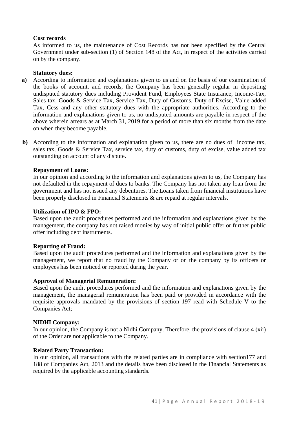### **Cost records**

As informed to us, the maintenance of Cost Records has not been specified by the Central Government under sub-section (1) of Section 148 of the Act, in respect of the activities carried on by the company.

### **Statutory dues:**

- **a)** According to information and explanations given to us and on the basis of our examination of the books of account, and records, the Company has been generally regular in depositing undisputed statutory dues including Provident Fund, Employees State Insurance, Income-Tax, Sales tax, Goods & Service Tax, Service Tax, Duty of Customs, Duty of Excise, Value added Tax, Cess and any other statutory dues with the appropriate authorities. According to the information and explanations given to us, no undisputed amounts are payable in respect of the above wherein arrears as at March 31, 2019 for a period of more than six months from the date on when they become payable.
- **b)** According to the information and explanation given to us, there are no dues of income tax, sales tax, Goods & Service Tax, service tax, duty of customs, duty of excise, value added tax outstanding on account of any dispute.

# **Repayment of Loans:**

In our opinion and according to the information and explanations given to us, the Company has not defaulted in the repayment of dues to banks. The Company has not taken any loan from the government and has not issued any debentures. The Loans taken from financial institutions have been properly disclosed in Financial Statements & are repaid at regular intervals.

### **Utilization of IPO & FPO:**

Based upon the audit procedures performed and the information and explanations given by the management, the company has not raised monies by way of initial public offer or further public offer including debt instruments.

### **Reporting of Fraud:**

Based upon the audit procedures performed and the information and explanations given by the management, we report that no fraud by the Company or on the company by its officers or employees has been noticed or reported during the year.

### **Approval of Managerial Remuneration:**

Based upon the audit procedures performed and the information and explanations given by the management, the managerial remuneration has been paid or provided in accordance with the requisite approvals mandated by the provisions of section 197 read with Schedule V to the Companies Act;

### **NIDHI Company:**

In our opinion, the Company is not a Nidhi Company. Therefore, the provisions of clause 4 (xii) of the Order are not applicable to the Company.

### **Related Party Transaction:**

In our opinion, all transactions with the related parties are in compliance with section177 and 188 of Companies Act, 2013 and the details have been disclosed in the Financial Statements as required by the applicable accounting standards.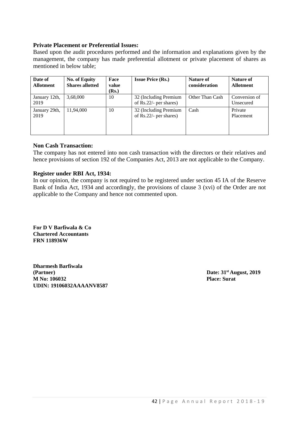# **Private Placement or Preferential Issues:**

Based upon the audit procedures performed and the information and explanations given by the management, the company has made preferential allotment or private placement of shares as mentioned in below table;

| Date of<br><b>Allotment</b> | <b>No. of Equity</b><br><b>Shares allotted</b> | Face<br>value<br>(Rs.) | <b>Issue Price (Rs.)</b>                           | Nature of<br>consideration | Nature of<br><b>Allotment</b> |
|-----------------------------|------------------------------------------------|------------------------|----------------------------------------------------|----------------------------|-------------------------------|
| January 12th,<br>2019       | 3,68,000                                       | 10                     | 32 (Including Premium)<br>of $Rs.22/-$ per shares) | Other Than Cash            | Conversion of<br>Unsecured    |
| January 29th,<br>2019       | 11,94,000                                      | 10                     | 32 (Including Premium<br>of $Rs.22/-$ per shares)  | Cash                       | Private<br>Placement          |

### **Non Cash Transaction:**

The company has not entered into non cash transaction with the directors or their relatives and hence provisions of section 192 of the Companies Act, 2013 are not applicable to the Company.

### **Register under RBI Act, 1934:**

In our opinion, the company is not required to be registered under section 45 IA of the Reserve Bank of India Act, 1934 and accordingly, the provisions of clause 3 (xvi) of the Order are not applicable to the Company and hence not commented upon.

**For D V Barfiwala & Co Chartered Accountants FRN 118936W** 

**Dharmesh Barfiwala (Partner)** Date: 31<sup>st</sup> August, 2019<br> **M** No: 106032 Place: Surat **M No: 106032 UDIN: 19106032AAAANV8587**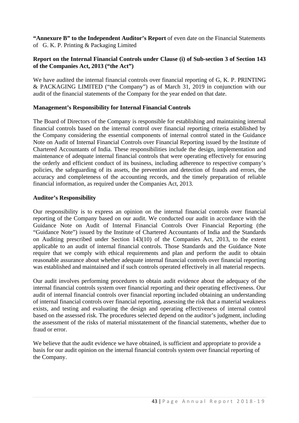**"Annexure B" to the Independent Auditor's Report** of even date on the Financial Statements of G. K. P. Printing & Packaging Limited

# **Report on the Internal Financial Controls under Clause (i) of Sub-section 3 of Section 143 of the Companies Act, 2013 ("the Act")**

We have audited the internal financial controls over financial reporting of G, K. P. PRINTING & PACKAGING LIMITED ("the Company") as of March 31, 2019 in conjunction with our audit of the financial statements of the Company for the year ended on that date.

# **Management's Responsibility for Internal Financial Controls**

The Board of Directors of the Company is responsible for establishing and maintaining internal financial controls based on the internal control over financial reporting criteria established by the Company considering the essential components of internal control stated in the Guidance Note on Audit of Internal Financial Controls over Financial Reporting issued by the Institute of Chartered Accountants of India. These responsibilities include the design, implementation and maintenance of adequate internal financial controls that were operating effectively for ensuring the orderly and efficient conduct of its business, including adherence to respective company's policies, the safeguarding of its assets, the prevention and detection of frauds and errors, the accuracy and completeness of the accounting records, and the timely preparation of reliable financial information, as required under the Companies Act, 2013.

# **Auditor's Responsibility**

Our responsibility is to express an opinion on the internal financial controls over financial reporting of the Company based on our audit. We conducted our audit in accordance with the Guidance Note on Audit of Internal Financial Controls Over Financial Reporting (the "Guidance Note") issued by the Institute of Chartered Accountants of India and the Standards on Auditing prescribed under Section 143(10) of the Companies Act, 2013, to the extent applicable to an audit of internal financial controls. Those Standards and the Guidance Note require that we comply with ethical requirements and plan and perform the audit to obtain reasonable assurance about whether adequate internal financial controls over financial reporting was established and maintained and if such controls operated effectively in all material respects.

Our audit involves performing procedures to obtain audit evidence about the adequacy of the internal financial controls system over financial reporting and their operating effectiveness. Our audit of internal financial controls over financial reporting included obtaining an understanding of internal financial controls over financial reporting, assessing the risk that a material weakness exists, and testing and evaluating the design and operating effectiveness of internal control based on the assessed risk. The procedures selected depend on the auditor's judgment, including the assessment of the risks of material misstatement of the financial statements, whether due to fraud or error.

We believe that the audit evidence we have obtained, is sufficient and appropriate to provide a basis for our audit opinion on the internal financial controls system over financial reporting of the Company.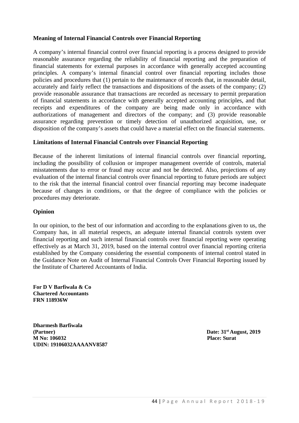# **Meaning of Internal Financial Controls over Financial Reporting**

A company's internal financial control over financial reporting is a process designed to provide reasonable assurance regarding the reliability of financial reporting and the preparation of financial statements for external purposes in accordance with generally accepted accounting principles. A company's internal financial control over financial reporting includes those policies and procedures that (1) pertain to the maintenance of records that, in reasonable detail, accurately and fairly reflect the transactions and dispositions of the assets of the company; (2) provide reasonable assurance that transactions are recorded as necessary to permit preparation of financial statements in accordance with generally accepted accounting principles, and that receipts and expenditures of the company are being made only in accordance with authorizations of management and directors of the company; and (3) provide reasonable assurance regarding prevention or timely detection of unauthorized acquisition, use, or disposition of the company's assets that could have a material effect on the financial statements.

# **Limitations of Internal Financial Controls over Financial Reporting**

Because of the inherent limitations of internal financial controls over financial reporting, including the possibility of collusion or improper management override of controls, material misstatements due to error or fraud may occur and not be detected. Also, projections of any evaluation of the internal financial controls over financial reporting to future periods are subject to the risk that the internal financial control over financial reporting may become inadequate because of changes in conditions, or that the degree of compliance with the policies or procedures may deteriorate.

### **Opinion**

In our opinion, to the best of our information and according to the explanations given to us, the Company has, in all material respects, an adequate internal financial controls system over financial reporting and such internal financial controls over financial reporting were operating effectively as at March 31, 2019, based on the internal control over financial reporting criteria established by the Company considering the essential components of internal control stated in the Guidance Note on Audit of Internal Financial Controls Over Financial Reporting issued by the Institute of Chartered Accountants of India.

**For D V Barfiwala & Co Chartered Accountants FRN 118936W** 

**Dharmesh Barfiwala (Partner) Date: 31st August, 2019 M No: 106032 Place: Surat UDIN: 19106032AAAANV8587**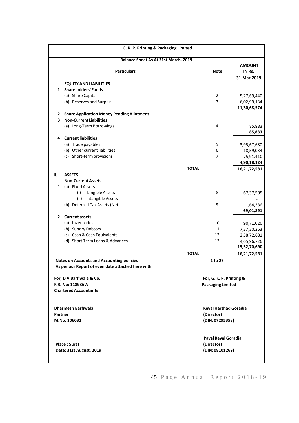| G. K. P. Printing & Packaging Limited |                                                                                                       |                                                      |                                        |
|---------------------------------------|-------------------------------------------------------------------------------------------------------|------------------------------------------------------|----------------------------------------|
|                                       | Balance Sheet As At 31st March, 2019                                                                  |                                                      |                                        |
|                                       | <b>Particulars</b>                                                                                    | <b>Note</b>                                          | <b>AMOUNT</b><br>IN Rs.<br>31-Mar-2019 |
| L.                                    | <b>EQUITY AND LIABILITIES</b>                                                                         |                                                      |                                        |
| $\mathbf{1}$                          | <b>Shareholders' Funds</b>                                                                            |                                                      |                                        |
|                                       | (a) Share Capital                                                                                     | 2                                                    | 5,27,69,440                            |
|                                       | (b) Reserves and Surplus                                                                              | 3                                                    | 6,02,99,134                            |
|                                       |                                                                                                       |                                                      | 11,30,68,574                           |
| 2                                     | <b>Share Application Money Pending Allotment</b>                                                      |                                                      |                                        |
| $\overline{\mathbf{3}}$               | <b>Non-Current Liabilities</b>                                                                        |                                                      |                                        |
|                                       | (a) Long-Term Borrowings                                                                              | 4                                                    | 85,883                                 |
|                                       |                                                                                                       |                                                      | 85,883                                 |
| 4                                     | <b>Current liabilities</b>                                                                            |                                                      |                                        |
|                                       | (a) Trade payables                                                                                    | 5                                                    | 3,95,67,680                            |
|                                       | (b) Other current liabilities                                                                         | 6                                                    | 18,59,034                              |
|                                       | (c) Short-term provisions                                                                             | $\overline{7}$                                       | 75,91,410                              |
|                                       |                                                                                                       |                                                      | 4,90,18,124                            |
|                                       | <b>TOTAL</b>                                                                                          |                                                      | 16,21,72,581                           |
| II.                                   | <b>ASSETS</b>                                                                                         |                                                      |                                        |
|                                       | <b>Non-Current Assets</b>                                                                             |                                                      |                                        |
| $\mathbf{1}$                          | (a) Fixed Assets                                                                                      |                                                      |                                        |
|                                       | (i)<br><b>Tangible Assets</b>                                                                         | 8                                                    | 67,37,505                              |
|                                       | (ii) Intangible Assets                                                                                |                                                      |                                        |
|                                       | (b) Deferred Tax Assets (Net)                                                                         | 9                                                    | 1,64,386                               |
|                                       |                                                                                                       |                                                      | 69,01,891                              |
| $\overline{2}$                        | <b>Current assets</b>                                                                                 |                                                      |                                        |
|                                       | (a) Inventories                                                                                       | 10                                                   | 90,71,020                              |
|                                       | (b) Sundry Debtors                                                                                    | 11                                                   | 7,37,30,263                            |
|                                       | (c) Cash & Cash Equivalents<br>(d) Short Term Loans & Advances                                        | 12<br>13                                             | 2,58,72,681                            |
|                                       |                                                                                                       |                                                      | 4,65,96,726                            |
|                                       |                                                                                                       |                                                      | 15,52,70,690                           |
|                                       | <b>TOTAL</b>                                                                                          |                                                      | 16,21,72,581                           |
|                                       | <b>Notes on Accounts and Accounting policies</b><br>As per our Report of even date attached here with | 1 to 27                                              |                                        |
|                                       | For, D V Barfiwala & Co.                                                                              | For, G. K. P. Printing &                             |                                        |
|                                       | F.R. No: 118936W                                                                                      | <b>Packaging Limited</b>                             |                                        |
|                                       | <b>Chartered Accountants</b>                                                                          |                                                      |                                        |
|                                       | <b>Dharmesh Barfiwala</b><br><b>Keval Harshad Goradia</b>                                             |                                                      |                                        |
|                                       | Partner<br>(Director)<br>(DIN: 07295358)<br>M.No. 106032                                              |                                                      |                                        |
|                                       | Place: Surat<br>Date: 31st August, 2019                                                               | Payal Keval Goradia<br>(Director)<br>(DIN: 08101269) |                                        |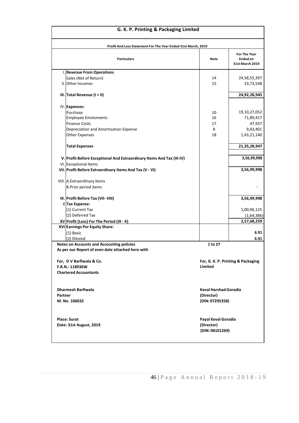| G. K. P. Printing & Packaging Limited |                                                                                  |                                   |                                                    |
|---------------------------------------|----------------------------------------------------------------------------------|-----------------------------------|----------------------------------------------------|
|                                       | Profit And Loss Statement For The Year Ended 31st March, 2019                    |                                   |                                                    |
|                                       | <b>Particulars</b>                                                               | <b>Note</b>                       | For The Year<br><b>Ended on</b><br>31st March 2019 |
|                                       | I. Revenue From Operations                                                       |                                   |                                                    |
|                                       | Sales (Net of Return)                                                            | 14                                | 24,58,55,397                                       |
|                                       | II. Other Incomes                                                                | 15                                | 33,73,548                                          |
|                                       | III. Total Revenue (I + II)                                                      |                                   | 24,92,28,945                                       |
|                                       | IV. Expenses:                                                                    |                                   |                                                    |
|                                       | Purchase                                                                         | 10                                | 19,10,27,052                                       |
|                                       | <b>Employee Emoluments</b>                                                       | 16                                | 71,89,417                                          |
|                                       | <b>Finance Costs</b>                                                             | 17                                | 47,937                                             |
|                                       | Depreciation and Amortization Expense                                            | 8                                 | 9,43,401                                           |
|                                       | <b>Other Expenses</b>                                                            | 18                                | 1,43,21,140                                        |
|                                       | <b>Total Expenses</b>                                                            |                                   | 21,35,28,947                                       |
|                                       |                                                                                  |                                   |                                                    |
|                                       | V. Profit Before Exceptional And Extraordinary Items And Tax (III-IV)            |                                   | 3,56,99,998                                        |
|                                       | VI. Exceptional Items<br>VII. Profit Before Extraordinary Items And Tax (V - VI) |                                   | 3,56,99,998                                        |
|                                       | VIII. A. Extraordinary Items                                                     |                                   |                                                    |
|                                       | <b>B.Prior period items</b>                                                      |                                   |                                                    |
|                                       | IX. Profit Before Tax (VII- VIII)                                                |                                   | 3,56,99,998                                        |
|                                       | X Tax Expense:                                                                   |                                   |                                                    |
|                                       | (1) Current Tax                                                                  |                                   | 1,00,96,125                                        |
|                                       | (2) Deferred Tax                                                                 |                                   | (1,64,386)                                         |
|                                       | XV Profit (Loss) For The Period (IX - X)                                         |                                   | 2,57,68,259                                        |
|                                       | XVI Earnings Per Equity Share:                                                   |                                   |                                                    |
|                                       | (1) Basic                                                                        |                                   | 6.91                                               |
|                                       | (2) Diluted                                                                      |                                   | 6.91                                               |
|                                       | <b>Notes on Accounts and Accounting policies</b>                                 | 1 to 27                           |                                                    |
|                                       | As per our Report of even date attached here with                                |                                   |                                                    |
|                                       | For, D V Barfiwala & Co.                                                         |                                   | For, G. K. P. Printing & Packaging                 |
|                                       | F.R.N.: 118936W                                                                  | Limited                           |                                                    |
|                                       | <b>Chartered Accountants</b>                                                     |                                   |                                                    |
|                                       | <b>Dharmesh Barfiwala</b>                                                        | <b>Keval Harshad Goradia</b>      |                                                    |
| Partner                               |                                                                                  | (Director)                        |                                                    |
|                                       | M. No. 106032                                                                    | (DIN: 07295358)                   |                                                    |
|                                       |                                                                                  |                                   |                                                    |
|                                       | <b>Place: Surat</b><br>Date: 31st August, 2019                                   | Payal Keval Goradia<br>(Director) |                                                    |
|                                       |                                                                                  | (DIN: 08101269)                   |                                                    |
|                                       |                                                                                  |                                   |                                                    |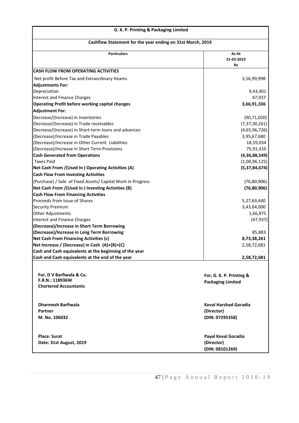| G. K. P. Printing & Packaging Limited                       |                                  |  |
|-------------------------------------------------------------|----------------------------------|--|
| Cashflow Statement for the year ending on 31st March, 2019  |                                  |  |
| <b>Particulars</b>                                          | As At<br>31-03-2019<br><b>Rs</b> |  |
| <b>CASH FLOW FROM OPERATING ACTIVITIES</b>                  |                                  |  |
|                                                             |                                  |  |
| Net profit Before Tax and Extraordinary Iteams              | 3,56,99,998                      |  |
| <b>Adjustments For:</b>                                     |                                  |  |
| Depreciation                                                | 9,43,401                         |  |
| <b>Interest and Finance Charges</b>                         | 47,937                           |  |
| <b>Operating Profit before working capital changes</b>      | 3,66,91,336                      |  |
| <b>Adjustment For:</b>                                      |                                  |  |
| Decrease/(Increase) in Inventories                          | (90, 71, 020)                    |  |
| Decrease/(Increase) in Trade receivables                    | (7, 37, 30, 261)                 |  |
| Decrease/(Increase) in Short-term loans and advances        | (4,65,96,726)                    |  |
| (Decrease)/Increase in Trade Payables                       | 3,95,67,680                      |  |
| (Decrease)/Increase in Other Current Liabilities            | 18,59,034                        |  |
| (Decrease)/Increase in Short Term Provisions                | 75,91,410                        |  |
| <b>Cash Generated from Operations</b>                       | (4, 36, 88, 549)                 |  |
| <b>Taxes Paid</b>                                           | (1,00,96,125)                    |  |
| Net Cash From / (Used In ) Operating Activities (A)         | (5, 37, 84, 674)                 |  |
| <b>Cash Flow From Investing Activities</b>                  |                                  |  |
| (Purchase) / Sale of Fixed Assets/ Capital Work In Progress | (76, 80, 906)                    |  |
| Net Cash From / (Used In ) Investing Activities (B)         | (76, 80, 906)                    |  |
| <b>Cash Flow From Financing Activities</b>                  |                                  |  |
| Proceeds from Issue of Shares                               | 5,27,69,440                      |  |
| <b>Security Premium</b>                                     | 3,43,64,000                      |  |
| <b>Other Adjustments</b>                                    | 1,66,875                         |  |
| <b>Interest and Finance Charges</b>                         | (47, 937)                        |  |
| (Decrease)/Increase in Short Term Borrowing                 |                                  |  |
| (Decrease)/Increase in Long Term Borrowing                  | 85,883                           |  |
| <b>Net Cash From Financing Activities (c)</b>               | 8,73,38,261                      |  |
| Net Increase / (Decrease) in Cash (A)+(B)+(C)               | 2,58,72,681                      |  |
|                                                             |                                  |  |
| Cash and Cash equivalents at the beginning of the year      |                                  |  |
| Cash and Cash equivalents at the end of the year            | 2,58,72,681                      |  |
| For, D V Barfiwala & Co.                                    | For, G. K. P. Printing &         |  |
| F.R.N.: 118936W                                             | <b>Packaging Limited</b>         |  |
| <b>Chartered Accountants</b>                                |                                  |  |
| <b>Dharmesh Barfiwala</b>                                   | Keval Harshad Goradia            |  |
| Partner                                                     | (Director)                       |  |
| M. No. 106032                                               | (DIN: 07295358)                  |  |
| <b>Place: Surat</b>                                         | Payal Keval Goradia              |  |
| Date: 31st August, 2019                                     | (Director)<br>(DIN: 08101269)    |  |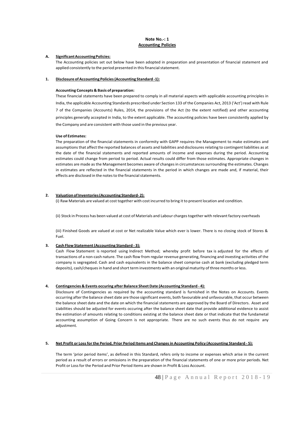#### **Note No.‐: 1 Accounting Policies**

#### **A. SignificantAccountingPolicies:**

The Accounting policies set out below have been adopted in preparation and presentation of financial statement and applied consistently to the period presented in this financial statement.

#### **1. Disclosure ofAccounting Policies(Accounting Standard ‐1):**

#### **Accounting Concepts & Basis of preparation:**

These financial statements have been prepared to comply in all material aspects with applicable accounting principles in India, the applicable Accounting Standards prescribed under Section 133 of the Companies Act, 2013 ('Act') read with Rule 7 of the Companies (Accounts) Rules, 2014, the provisions of the Act (to the extent notified) and other accounting principles generally accepted in India, to the extent applicable. The accounting policies have been consistently applied by the Company and are consistent with those used in the previous year.

#### **Use of Estimates:**

The preparation of the financial statements in conformity with GAPP requires the Management to make estimates and assumptions that affect the reported balances of assets and liabilities and disclosures relating to contingent liabilities as at the date of the financial statements and reported amounts of income and expenses during the period. Accounting estimates could change from period to period. Actual results could differ from those estimates. Appropriate changes in estimates are made as the Management becomes aware of changes in circumstances surrounding the estimates. Changes in estimates are reflected in the financial statements in the period in which changes are made and, if material, their effects are disclosed in the notesto the financialstatements.

#### **2. Valuation ofInventories(Accounting Standard‐ 2):**

(i) Raw Materials are valued at cost together with cost incurred to bring it to present location and condition.

(ii) Stock in Process has been valued at cost of Materials and Labour charges together with relevant factory overheads

(iii) Finished Goods are valued at cost or Net realizable Value which ever is lower. There is no closing stock of Stores & Fuel.

#### **3. Cash Flow Statement(Accounting Standard ‐ 3):**

Cash Flow Statement is reported using Indirect Method; whereby profit before tax is adjusted for the effects of transactions of a non‐cash nature. The cash flow from regular revenue generating, financing and investing activities of the company is segregated. Cash and cash equivalents in the balance sheet comprise cash at bank (excluding pledged term deposits), cash/cheques in hand and short term investments with an original maturity of three months or less.

#### **4. Contingencies & Events occuring after Balance Sheet Date (Accounting Standard ‐ 4):**

Disclosure of Contingencies as required by the accounting standard is furnished in the Notes on Accounts. Events occurring after the balance sheet date are those significant events, both favourable and unfavourable, that occur between the balance sheet date and the date on which the financial statements are approved by the Board of Directors. Asset and Liabilities should be adjusted for events occuring after the balance sheet date that provide additional evidence to assist the estimation of amounts relating to conditions existing at the balance sheet date or that indicate that the fundametal accounting assumption of Going Concern is not appropriate. There are no such events thus do not require any adjustment.

#### 5. Net Profit or Loss for the Period, Prior Period Items and Changes in Accounting Policy (Accounting Standard - 5):

The term 'prior period items', as defined in this Standard, refers only to income or expenses which arise in the current period as a result of errors or omissions in the preparation of the financial statements of one or more prior periods. Net Profit or Lossfor the Period and Prior Period Items are shown in Profit & Loss Account.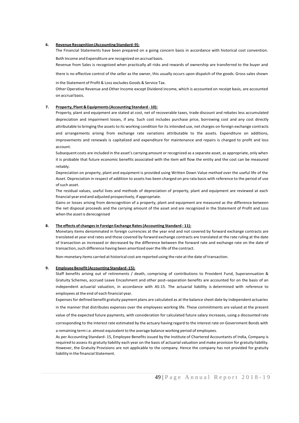#### **6. Revenue Recognition (Accounting Standard -9):**

The Financial Statements have been prepared on a going concern basis in accordance with historical cost convention. Both Income and Expenditure are recognized on accrual basis.

Revenue from Sales is recognized when practically all risks and rewards of ownership are transferred to the buyer and

there is no effective control of the seller as the owner, this usually occurs upon dispatch of the goods. Gross sales shown

in the Statement of Profit & Loss excludes Goods & Service Tax.

Other Operative Revenue and Other Income except Dividend income, which is accounted on receipt basis, are accounted on accrual basis.

#### **7. Property, Plant & Equipments(Accounting Standard ‐ 10):**

Property, plant and equipment are stated at cost, net of recoverable taxes, trade discount and rebates less accumulated depreciation and impairment losses, if any. Such cost includes purchase price, borrowing cost and any cost directly attributable to bringing the assets to its working condition for its intended use, net charges on foreign exchange contracts and arrangements arising from exchange rate variations attributable to the assets. Expenditure on additions, improvements and renewals is capitalized and expenditure for maintenance and repairs is charged to profit and loss account.

Subsequent costs are included in the asset's carrying amount or recognized as a separate asset, as appropriate, only when it is probable that future economic benefits associated with the item will flow the entity and the cost can be measured reliably.

Depreciation on property, plant and equipment is provided using Written Down Value method over the useful life of the Asset. Depreciation in respect of addition to assets has been charged on pro rata basis with reference to the period of use ofsuch asset.

The residual values, useful lives and methods of depreciation of property, plant and equipment are reviewed at each financial year end and adjusted prospectively, if appropriate.

Gains or losses arising from derecognition of a property, plant and equipment are measured as the difference between the net disposal proceeds and the carrying amount of the asset and are recognized in the Statement of Profit and Loss when the asset is derecognised

#### **8. The effects of changesin Foreign Exchange Rates(Accounting Standard ‐ 11):**

Monetary items denominated in foreign currencies at the year end and not covered by forward exchange contracts are translated at year end rates and those covered by forward exchange contracts are translated at the rate ruling at the date of transaction as increased or decreased by the difference between the forward rate and exchange rate on the date of transaction, such difference having been amortized over the life of the contract.

Non‐monetary items carried at historical cost are reported using the rate at the date of transaction.

#### **9. EmployeeBenefit(Accounting Standard ‐15):**

Staff benefits arising out of retirements / death, comprising of contributions to Provident Fund, Superannuation & Gratuity Schemes, accrued Leave Encashment and other post–separation benefits are accounted for on the basis of an independent actuarial valuation, in accordance with AS‐15. The actuarial liability is determined with reference to employees at the end of each financial year.

Expenses for defined benefit gratuity payment plans are calculated as at the balance sheet date by independent actuaries in the manner that distributes expenses over the employees working life. These commitments are valued at the present value of the expected future payments, with consideration for calculated future salary increases, using a discounted rate corresponding to the interest rate estimated by the actuary having regard to the interest rate on Government Bonds with a remaining term i.e. almost equivalent to the average balance working period of employees.

As per Accounting Standard‐ 15, Employee Benefits issued by the Institute of Chartered Accountants of India, Company is required to assess its gratuity liability each year on the basis of actuarial valuation and make provision for gratuity liability. However, the Gratuity Provisions are not applicable to the company. Hence the company has not provided for gratuity liability in the financial Statement.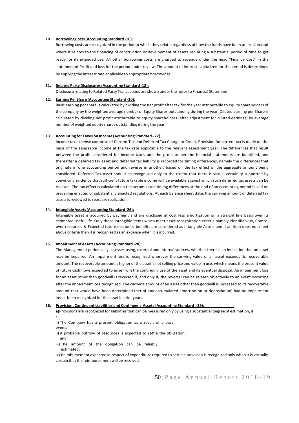#### **10. Borrowing Costs(Accounting Standard ‐16):**

Borrowing costs are recognized in the period to which they relate, regardless of how the funds have been utilized, except where it relates to the financing of construction or development of assets requiring a substantial period of time to get ready for its intended use. All other borrowing costs are charged to revenue under the head "Finance Cost" in the statement of Profit and loss for the period under review. The amount of interest capitalized for the period is determined by applying the interestrate applicable to appropriate borrowings.

#### **11. RelatedPartyDisclosures(Accounting Standard ‐18):**

Disclosure relating to Related Party Transactions are shown underthe notesto Financial Statement

#### **12. Earning Per Share (Accounting Standard ‐20):**

Basic earning per share is calculated by dividing the net profit after tax for the year attributable to equity shareholders of the company by the weighted average number of Equity Shares outstanding during the year. Diluted earning per Share is calculated by dividing net profit attributable to equity shareholders (after adjustment for diluted earnings) by average number of weighted equity shares outstanding during the year.

#### **13. Accounting for Taxes on Income (Accounting Standard ‐ 22):**

Income tax expense comprise of Current Tax and Deferred Tax Charge or Credit. Provision for current tax is made on the basis of the assessable income at the tax rate applicable to the relevant assessment year. The differences that result between the profit considered for income taxes and the profit as per the financial statements are identified, and thereafter a deferred tax asset and deferred tax liability is recorded for timing differences, namely the differences that originate in one accounting period and reverse in another, based on the tax effect of the aggregate amount being considered. Deferred Tax Asset should be recognised only to the extent that there is virtual certainity supported by convincing evidence that sufficient future taxable income will be available against which such deferred tax assets can be realised. The tax effect is calculated on the accumulated timing differences at the end of an accounting period based on prevailing enacted or substantially enacted regulations. At each balance sheet date, the carrying amount of deferred tax assets is reviewed to reassure realization.

#### **14. IntangibleAssets(Accounting Standard ‐26):**

Intangible asset is acquired by payment and are disclosed at cost less amortization on a straight line basis over its estimated useful life. Only those intangible items which meet asset recognization criteria namely identifiability, Control over resources & Expected future economic benefits are considered as Intangible Assets and if an item does not meet above criteria then it is recognised as an expense when it is incurred.

#### **15. Impairment ofAssets(Accounting Standard ‐28):**

The Management periodically assesses using, external and internal sources, whether there is an indication that an asset may be impaired. An impairment loss is recognized wherever the carrying value of an asset exceeds its recoverable amount. The recoverable amount is higher of the asset's net selling price and value in use, which means the present value of future cash flows expected to arise from the continuing use of the asset and its eventual disposal. An impairment loss for an asset other than goodwill is reversed if, and only if, the reversal can be related objectively to an event occurring after the impairment loss recognized. The carrying amount of an asset other than goodwill is increased to its recoverable amount that would have been determined (net of any accumulated amortization or depreciation) had no impairment losses been recognized for the asset in prior years.

#### **16. Provision, Contingent Liabilities and Contingent Assets (Accounting Standard ‐29):**

a)Provisions are recognized for liabilities that can be measured only by using a substantial degree of estimation, if :

i) The Company has a present obligation as a result of a past

event;

ii) A probable outflow of resources is expected to settle the obligation;

and

iii) The amount of the obligation can be reliably estimated.

iv) Reimbursement expected in respect of expenditure required to settle a provision is recognized only when it is virtually certain that the reimbursement will be received.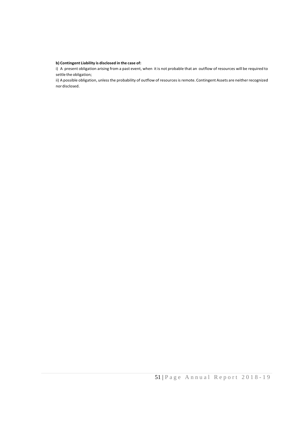#### **b) Contingent Liability is disclosed in the case of:**

i) A present obligation arising from a past event, when it is not probable that an outflow of resources will be required to settle the obligation;

ii) A possible obligation, unless the probability of outflow of resources is remote. Contingent Assets are neither recognized nordisclosed.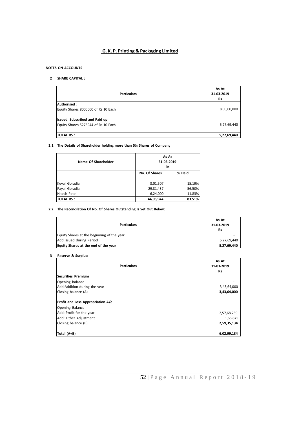#### **NOTES ON ACCOUNTS**

**2 SHARE CAPITAL :**

| <b>Particulars</b>                  | As At<br>31-03-2019<br>Rs |
|-------------------------------------|---------------------------|
| Authorised:                         |                           |
| Equity Shares 8000000 of Rs 10 Each | 8,00,00,000               |
| Issued, Subscribed and Paid up:     |                           |
| Equity Shares 5276944 of Rs 10 Each | 5,27,69,440               |
| <b>TOTAL RS:</b>                    | 5,27,69,440               |

#### **2.1 The Details of Shareholder holding more than 5% Shares of Company**

| Name Of Shareholder | As At<br>31-03-2019<br>Rs |        |
|---------------------|---------------------------|--------|
|                     | No. Of Shares             | % Held |
|                     |                           |        |
| Keval Goradia       | 8,01,507                  | 15.19% |
| Payal Goradia       | 29,81,437                 | 56.50% |
| <b>Hitesh Patel</b> | 6,24,000                  | 11.83% |
| <b>TOTAL RS:</b>    | 44,06,944                 | 83.51% |

#### **2.2 The Reconcilation Of No. Of Shares Outstanding Is Set Out Below:**

| <b>Particulars</b>                         | As At<br>31-03-2019<br>Rs |
|--------------------------------------------|---------------------------|
| Equity Shares at the beginning of the year |                           |
| Add:Issued during Period                   | 5,27,69,440               |
| Equity Shares at the end of the year       | 5,27,69,440               |

#### **3 Reserve & Surplus:**

| <b>Particulars</b>                | As At<br>31-03-2019<br>Rs |
|-----------------------------------|---------------------------|
| Securities Premium                |                           |
| Opening balance                   |                           |
| Add:Addition during the year      | 3,43,64,000               |
| Closing balance (A)               | 3,43,64,000               |
| Profit and Loss Appropriation A/c |                           |
| <b>Opening Balance</b>            |                           |
| Add: Profit for the year          | 2,57,68,259               |
| Add: Other Adjustment             | 1,66,875                  |
| Closing balance (B)               | 2,59,35,134               |
| Total (A+B)                       | 6,02,99,134               |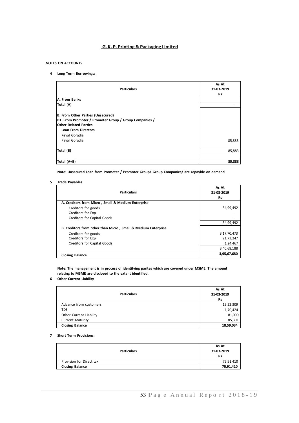#### **NOTES ON ACCOUNTS**

**4 Long Term Borrowings:**

| <b>Particulars</b>                                                                          | As At<br>31-03-2019<br>Rs |
|---------------------------------------------------------------------------------------------|---------------------------|
| A. From Banks                                                                               |                           |
| Total (A)                                                                                   |                           |
| B. From Other Parties (Unsecured)<br>B1. From Promoter / Promoter Group / Group Companies / |                           |
| <b>Other Related Parties</b>                                                                |                           |
| <b>Loan From Directors</b>                                                                  |                           |
| Keval Goradia                                                                               |                           |
| Payal Goradia                                                                               | 85,883                    |
| Total (B)                                                                                   | 85,883                    |
|                                                                                             |                           |
| Total (A+B)                                                                                 | 85,883                    |

**Note: Unsecured Loan from Promoter / Promoter Group/ Group Companies/ are repayble on demand**

#### **5 Trade Payables**

| <b>Particulars</b>                                            | As At<br>31-03-2019<br>Rs |
|---------------------------------------------------------------|---------------------------|
| A. Creditors from Micro, Small & Medium Enterprise            |                           |
| Creditors for goods                                           | 54,99,492                 |
| Creditors for Exp                                             |                           |
| <b>Creditors for Capital Goods</b>                            |                           |
|                                                               | 54,99,492                 |
| B. Creditors from other than Micro, Small & Medium Enterprise |                           |
| Creditors for goods                                           | 3,17,70,473               |
| Creditors for Exp                                             | 21,73,247                 |
| <b>Creditors for Capital Goods</b>                            | 1,24,467                  |
|                                                               | 3,40,68,188               |
| <b>Closing Balance</b>                                        | 3,95,67,680               |

**Note: The management is in process of identifying parites which are covered under MSME, The amount relating to MSME are disclosed to the extant identified.**

#### **6 Other Current Liability**

| <b>Particulars</b>      | As At<br>31-03-2019<br>Rs |
|-------------------------|---------------------------|
| Advance from customers  | 15,22,309                 |
| <b>TDS</b>              | 1,70,424                  |
| Other Current Liability | 81,000                    |
| <b>Current Maturity</b> | 85,301                    |
| <b>Closing Balance</b>  | 18,59,034                 |

#### **7 Short Term Provisions:**

| <b>Particulars</b>       | As At<br>31-03-2019<br>Rs |
|--------------------------|---------------------------|
| Provision for Direct tax | 75,91,410                 |
| <b>Closing Balance</b>   | 75,91,410                 |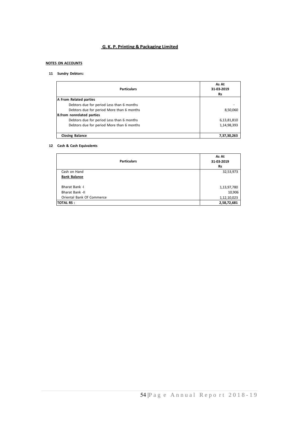### **NOTES ON ACCOUNTS**

#### **11 Sundry Debtors:**

| <b>Particulars</b>                        | As At<br>31-03-2019<br>Rs |
|-------------------------------------------|---------------------------|
| A From Related parties                    |                           |
| Debtors due for period Less than 6 months |                           |
| Debtors due for period More than 6 months | 8,50,060                  |
| B.from nonrelated parties                 |                           |
| Debtors due for period Less than 6 months | 6,13,81,810               |
| Debtors due for period More than 6 months | 1,14,98,393               |
| <b>Closing Balance</b>                    | 7,37,30,263               |

### **12 Cash & Cash Equivalents**

| <b>Particulars</b>        | As At<br>31-03-2019<br>Rs |
|---------------------------|---------------------------|
| Cash on Hand              | 32,53,973                 |
| <b>Bank Balance</b>       |                           |
| Bharat Bank -I            | 1,13,97,780               |
| Bharat Bank -II           | 10,906                    |
| Oriental Bank Of Commerce | 1,12,10,023               |
| <b>TOTAL RS:</b>          | 2,58,72,681               |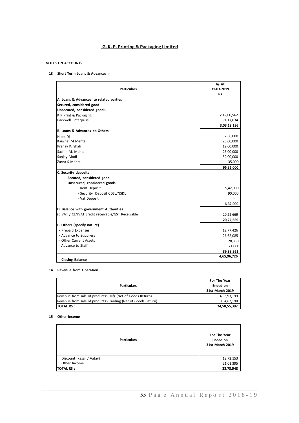#### **NOTES ON ACCOUNTS**

#### **13 Short Term Loans & Advances :‐**

| <b>Particulars</b>                                | As At<br>31-03-2019<br>Rs |
|---------------------------------------------------|---------------------------|
| A. Loans & Advances to related parties            |                           |
| Secured, considered good                          |                           |
| Unsecured, considered good:-                      |                           |
| K P Print & Packaging                             | 2,12,00,562               |
| Packwell Enterprise                               | 91,17,634                 |
|                                                   | 3,03,18,196               |
| B. Loans & Advances to Others                     |                           |
| Hitec Di                                          | 2,00,000                  |
| Kaushal M Mehta                                   | 25,00,000                 |
| Pranav K. Shah                                    | 12,00,000                 |
| Sachin M. Mehta                                   | 25,00,000                 |
| Sanjay Modi                                       | 32,00,000                 |
| Zarna S Mehta                                     | 35,000                    |
|                                                   | 96,35,000                 |
| C. Security deposits                              |                           |
| Secured, considered good                          |                           |
| Unsecured, considered good:-                      |                           |
| - Rent Deposit                                    | 5,42,000                  |
| - Security Deposit CDSL/NSDL                      | 90,000                    |
| - Vat Deposit                                     |                           |
|                                                   | 6,32,000                  |
| D. Balance with government Authorities            |                           |
| (i) VAT / CENVAT credit receivable/GST Receivable | 20,22,669                 |
|                                                   | 20,22,669                 |
| E. Others (specify nature)                        |                           |
| - Prepaid Expenses                                | 12,77,426                 |
| - Advance to Suppliers                            | 26,62,085                 |
| - Other Current Assets                            | 28,350                    |
| - Advance to Staff                                | 21,000                    |
|                                                   | 39,88,861                 |
| <b>Closing Balance</b>                            | 4,65,96,726               |

### **14 Revenue from Operation**

| <b>Particulars</b>                                            | For The Year<br>Ended on<br>31st March 2019 |
|---------------------------------------------------------------|---------------------------------------------|
| Revenue from sale of products: Mfg. (Net of Goods Return)     | 14,53,93,199                                |
| Revenue from sale of products:- Trading (Net of Goods Return) | 10,04,62,198                                |
| <b>TOTAL RS:</b>                                              | 24,58,55,397                                |

### **15 Other Income**

| <b>Particulars</b>       | For The Year<br>Ended on<br>31st March 2019 |
|--------------------------|---------------------------------------------|
| Discount (Kasar / Vatav) | 12,72,153                                   |
| Other Income             | 21,01,395                                   |
| <b>TOTAL RS:</b>         | 33,73,548                                   |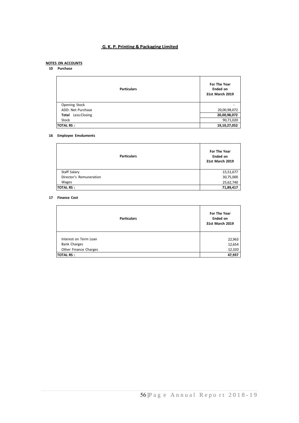#### **NOTES ON ACCOUNTS**

#### **10 Purchase**

| <b>Particulars</b>    | For The Year<br>Ended on<br>31st March 2019 |
|-----------------------|---------------------------------------------|
| <b>Opening Stock</b>  |                                             |
| ADD: Net Purchase     | 20,00,98,072                                |
| Less:Closing<br>Total | 20,00,98,072                                |
| Stock                 | 90,71,020                                   |
| <b>TOTAL RS:</b>      | 19,10,27,052                                |

#### **16 Employee Emoluments**

| <b>Particulars</b>      | For The Year<br>Ended on<br>31st March 2019 |
|-------------------------|---------------------------------------------|
| Staff Salary            | 15,51,677                                   |
| Director's Remuneration | 30,75,000                                   |
| Wages                   | 25,62,740                                   |
| <b>TOTAL RS:</b>        | 71,89,417                                   |

#### **17 Finance Cost**

| <b>Particulars</b>                           | For The Year<br>Ended on<br>31st March 2019 |
|----------------------------------------------|---------------------------------------------|
| Interest on Term Loan<br><b>Bank Charges</b> | 22,963<br>12,654                            |
| Other Finance Charges                        | 12,320                                      |
| <b>TOTAL RS:</b>                             | 47,937                                      |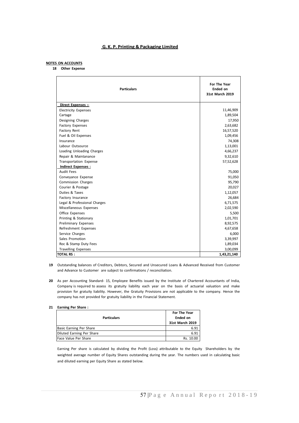#### **NOTES ON ACCOUNTS**

**18 Other Expense**

| <b>Particulars</b>           | For The Year<br><b>Ended on</b><br>31st March 2019 |
|------------------------------|----------------------------------------------------|
| Direct Expenses :-           |                                                    |
| <b>Electricity Expenses</b>  | 11,46,909                                          |
| Cartage                      | 1,89,504                                           |
| Designing Charges            | 17,950                                             |
| <b>Factory Expenses</b>      | 2,63,682                                           |
| <b>Factory Rent</b>          | 16,57,520                                          |
| Fuel & Oil Expenses          | 1,09,456                                           |
| Insurance                    | 74,308                                             |
| Labour Outsource             | 1,13,001                                           |
| Loading Unloading Charges    | 4,66,237                                           |
| Repair & Maintanance         | 9,32,610                                           |
| Transportation Expense       | 57,52,628                                          |
| <b>Indirect Expenses:</b>    |                                                    |
| Audit Fees                   | 75,000                                             |
| Conveyance Expense           | 91,050                                             |
| <b>Commission Charges</b>    | 95,790                                             |
| Courier & Postage            | 20,027                                             |
| Duties & Taxes               | 1,12,057                                           |
| Factory Insurance            | 26,684                                             |
| Legal & Professional Charges | 6,71,575                                           |
| Miscellaneous Expenses       | 2,02,590                                           |
| Office Expenses              | 5,500                                              |
| Printing & Stationary        | 1,01,701                                           |
| Preliminary Expenses         | 8,92,575                                           |
| Refreshment Expenses         | 4,67,658                                           |
| Service Charges              | 6,000                                              |
| Sales Promotion              | 3,39,997                                           |
| Roc & Stamp Duty Fees        | 1,89,034                                           |
| <b>Travelling Expenses</b>   | 3,00,099                                           |
| <b>TOTAL RS :</b>            | 1,43,21,140                                        |

- **19** Outstanding balances of Creditors, Debtors, Secured and Unsecured Loans & Advanced Received from Customer and Advance to Customer are subject to confirmations / reconciliation.
- **20** As per Accounting Standard‐ 15, Employee Benefits issued by the Institute of Chartered Accountants of India, Company is required to assess its gratuity liability each year on the basis of actuarial valuation and make provision for gratuity liability. However, the Gratuity Provisions are not applicable to the company. Hence the company has not provided for gratuity liability in the Financial Statement.

#### **21 Earning Per Share :**

|                           | For The Year           |
|---------------------------|------------------------|
| <b>Particulars</b>        | Ended on               |
|                           | <b>31st March 2019</b> |
| Basic Earning Per Share   | 6.91                   |
| Diluted Earning Per Share | 6.91                   |
| Face Value Per Share      | Rs. 10.00              |

Earning Per share is calculated by dividing the Profit (Loss) attributable to the Equity Shareholders by the weighted average number of Equity Shares outstanding during the year. The numbers used in calculating basic and diluted earning per Equity Share as stated below.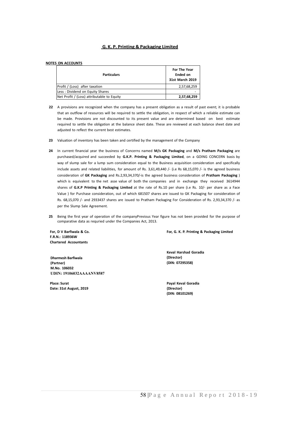#### **NOTES ON ACCOUNTS**

| <b>Particulars</b>                         | For The Year<br>Ended on<br><b>31st March 2019</b> |
|--------------------------------------------|----------------------------------------------------|
| Profit / (Loss) after taxation             | 2,57,68,259                                        |
| Less: Dividend on Equity Shares            |                                                    |
| Net Profit / (Loss) attributable to Equity | 2,57,68,259                                        |

- **22** A provisions are recognized when the company has a present obligation as a result of past event; it is probable that an outflow of resources will be required to settle the obligation, in respect of which a reliable estimate can be made. Provisions are not discounted to its present value and are determined based on best estimate required to settle the obligation at the balance sheet date. These are reviewed at each balance sheet date and adjusted to reflect the current best estimates.
- **23** Valuation of inventory has been taken and certified by the management of the Company
- **24** In current financial year the business of Concerns named **M/s GK Packaging** and **M/s Pratham Packaging** are purchased/acquired and succeeded by **G.K.P. Printing & Packaging Limited**, on a GOING CONCERN basis by way of slump sale for a lump sum consideration equal to the Business acquisition consideration and specifically include assets and related liabilities, for amount of Rs. 3,61,49,440 /- (i.e Rs 68,15,070 /- is the agreed business consideration of **GK Packaging** and Rs.2,93,34,370/‐is the agreed business consideration of **Pratham Packaging** ) which is equivalent to the net asse value of both the companies and in exchange they received 3614944 shares of **G.K.P Printing & Packaging Limited** at the rate of Rs.10 per share (i.e Rs. 10/‐ per share as a Face Value ) for Purchase consideration, out of which 681507 shares are issued to GK Packaging for consideration of Rs. 68,15,070 /- and 2933437 shares are issued to Pratham Packaging For Consideration of Rs. 2,93,34,370 /- as per the Slump Sale Agreement.
- **25** Being the first year of operation of the companyPrevious Year figure has not been provided for the purpose of comparative data as requried under the Companies Act, 2013.

**For, D V Barfiwala & Co. F.R.N.: 118936W Chartered Accountants**

**Dharmesh Barfiwala (Partner) M.No. 106032 UDIN: 19106032AAAANV8587**

**Place: Surat Payal Keval Goradia Date: 31st August, 2019 (Director)**

**For, G. K. P. Printing & Packaging Limited**

**Keval Harshad Goradia (Director) (DIN: 07295358)**

**(DIN: 08101269)**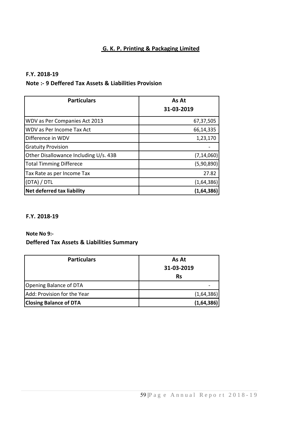# **F.Y. 2018‐19**

# **Note :‐ 9 Deffered Tax Assets & Liabilities Provision**

| <b>Particulars</b>                    | As At<br>31-03-2019 |
|---------------------------------------|---------------------|
| WDV as Per Companies Act 2013         | 67,37,505           |
| WDV as Per Income Tax Act             | 66,14,335           |
| Difference in WDV                     | 1,23,170            |
| <b>Gratuity Provision</b>             |                     |
| Other Disallowance Including U/s. 43B | (7, 14, 060)        |
| <b>Total Timming Differece</b>        | (5,90,890)          |
| Tax Rate as per Income Tax            | 27.82               |
| (DTA) / DTL                           | (1,64,386)          |
| Net deferred tax liability            | (1, 64, 386)        |

# **F.Y. 2018‐19**

# **Note No 9:‐**

# **Deffered Tax Assets & Liabilities Summary**

| <b>Particulars</b>            | As At<br>31-03-2019<br>Rs |
|-------------------------------|---------------------------|
| Opening Balance of DTA        |                           |
| Add: Provision for the Year   | (1,64,386)                |
| <b>Closing Balance of DTA</b> | (1,64,386)                |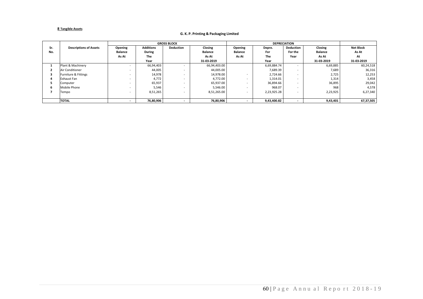#### **8 Tangible Assets**

#### **G. K. P. Printing & Packaging Limited**

|     |                               | <b>GROSS BLOCK</b><br><b>DEPRECIATION</b> |                  |                  |                |                |             |                  |                |                  |
|-----|-------------------------------|-------------------------------------------|------------------|------------------|----------------|----------------|-------------|------------------|----------------|------------------|
| Sr. | <b>Descriptions of Assets</b> | Opening                                   | <b>Additions</b> | <b>Deduction</b> | Closing        | Opening        | Depre.      | <b>Deduction</b> | Closing        | <b>Net Block</b> |
| No. |                               | <b>Balance</b>                            | During           |                  | <b>Balance</b> | <b>Balance</b> | For         | For the          | <b>Balance</b> | As At            |
|     |                               | As At                                     | The              |                  | As At          | As At          | The         | Year             | As At          | At               |
|     |                               |                                           | Year             |                  | 31-03-2019     |                | Year        |                  | 31-03-2019     | 31-03-2019       |
|     | Plant & Machinery             |                                           | 66,94,403        |                  | 66,94,403.00   |                | 6,69,884.74 |                  | 6,69,885       | 60,24,518        |
|     | Air Conditioner               |                                           | 44,005           |                  | 44,005.00      |                | 7,689.39    |                  | 7,689          | 36,316           |
|     | Furniture & Fittings          |                                           | 14,978           |                  | 14,978.00      |                | 2,724.66    |                  | 2,725          | 12,253           |
| 4   | Exhaust Fan                   |                                           | 4,772            |                  | 4,772.00       |                | 1,314.01    |                  | 1,314          | 3,458            |
|     | Computer                      |                                           | 65,937           | -                | 65,937.00      |                | 36,894.66   |                  | 36,895         | 29,042           |
| 6   | Mobile Phone                  |                                           | 5,546            |                  | 5,546.00       |                | 968.07      |                  | 968            | 4,578            |
|     | Tempo                         |                                           | 8,51,265         |                  | 8,51,265.00    |                | 2,23,925.28 |                  | 2,23,925       | 6,27,340         |
|     |                               |                                           |                  |                  |                |                |             |                  |                |                  |
|     | <b>TOTAL</b>                  |                                           | 76,80,906        |                  | 76,80,906      |                | 9,43,400.82 |                  | 9,43,401       | 67,37,505        |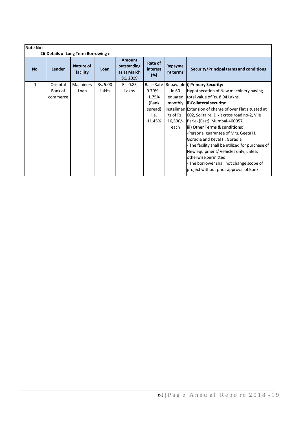| Note No:<br>26 Details of Long Term Borrowing :- |          |                       |          |                                                  |                            |                     |                                                         |
|--------------------------------------------------|----------|-----------------------|----------|--------------------------------------------------|----------------------------|---------------------|---------------------------------------------------------|
| No.                                              | Lender   | Nature of<br>facility | Loan     | Amount<br>outstanding<br>as at March<br>31, 2019 | Rate of<br>interest<br>(%) | Repayme<br>nt terms | Security/Principal terms and conditions                 |
| $\mathbf{1}$                                     | Oriental | Machinery             | Rs. 5.00 | Rs. 0.85                                         | <b>Base Rate</b>           |                     | Repayable i) Primary Security:                          |
|                                                  | Bank of  | Loan                  | Lakhs    | Lakhs                                            | $9.70% +$                  | in 60               | Hypothecation of New machinery having                   |
|                                                  | commerce |                       |          |                                                  | 1.75%                      | equated             | total value of Rs. 8.94 Lakhs                           |
|                                                  |          |                       |          |                                                  | (Bank                      |                     | monthly <b>ii)Collateral security:</b>                  |
|                                                  |          |                       |          |                                                  | spread)                    |                     | installmen Extension of charge of over Flat situated at |
|                                                  |          |                       |          |                                                  | i.e.                       | ts of Rs.           | 602, Solitaire, Dixit cross road no-2, Vile             |
|                                                  |          |                       |          |                                                  | 11.45%                     | $16,500/-$          | Parle- (East), Mumbai-400057.                           |
|                                                  |          |                       |          |                                                  |                            | each                | iii) Other Terms & conditions:                          |
|                                                  |          |                       |          |                                                  |                            |                     | -Personal guarantee of Mrs. Geeta H.                    |
|                                                  |          |                       |          |                                                  |                            |                     | Goradia and Keval H. Goradia                            |
|                                                  |          |                       |          |                                                  |                            |                     | - The facility shall be utilized for purchase of        |
|                                                  |          |                       |          |                                                  |                            |                     | New equipment/Vehicles only, unless                     |
|                                                  |          |                       |          |                                                  |                            |                     | otherwise permitted                                     |
|                                                  |          |                       |          |                                                  |                            |                     | - The borrower shall not change scope of                |
|                                                  |          |                       |          |                                                  |                            |                     | project without prior approval of Bank                  |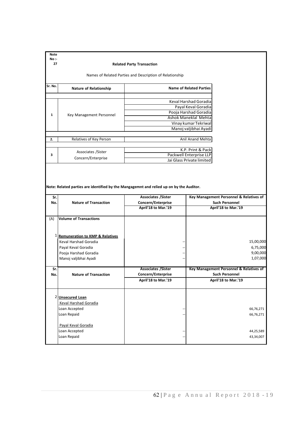| <b>Note</b><br>No: |                                  |                                                          |  |  |
|--------------------|----------------------------------|----------------------------------------------------------|--|--|
| 27                 | <b>Related Party Transaction</b> |                                                          |  |  |
|                    |                                  | Names of Related Parties and Description of Relationship |  |  |
| Sr. No.            | <b>Nature of Relationship</b>    | <b>Name of Related Parties</b>                           |  |  |
|                    |                                  | Keval Harshad Goradia                                    |  |  |
|                    | Key Management Personnel         | Payal Keval Goradia                                      |  |  |
| 1                  |                                  | Pooja Harshad Goradia                                    |  |  |
|                    |                                  | Ashok Maneklal Mehta                                     |  |  |
|                    |                                  | Vinay kumar Tekriwal                                     |  |  |
|                    |                                  | Manoj valjibhai Ayadi                                    |  |  |
|                    |                                  |                                                          |  |  |
| 2.                 | Relatives of Key Person          | Anil Anand Mehta                                         |  |  |
|                    |                                  |                                                          |  |  |
|                    | Associates /Sister               | K.P. Print & Pack                                        |  |  |
| 3                  | Concern/Enterprise               | Packwell Enterprise LLP                                  |  |  |
|                    |                                  | Jai Glass Private limited                                |  |  |

**Note: Related parties are identified by the Mangagemnt and relied up on by the Auditor.**

| Sr. |                                                                                   | <b>Associates /Sister</b> | Key Management Personnel & Relatives of |
|-----|-----------------------------------------------------------------------------------|---------------------------|-----------------------------------------|
| No. | <b>Nature of Transaction</b>                                                      | Concern/Enterprise        | <b>Such Personnel</b>                   |
|     |                                                                                   | April'18 to Mar.'19       | April'18 to Mar.'19                     |
| (A) | <b>Volume of Transactions</b>                                                     |                           |                                         |
|     | 1 Remuneration to KMP & Relatives<br>Keval Harshad Goradia<br>Payal Keval Goradia |                           | 15,00,000<br>6,75,000                   |
|     | Pooja Harshad Goradia                                                             |                           | 9,00,000                                |
|     | Manoj valjibhai Ayadi                                                             |                           | 1,07,000                                |
|     |                                                                                   |                           |                                         |
| Sr. |                                                                                   | <b>Associates /Sister</b> | Key Management Personnel & Relatives of |
| No. | <b>Nature of Transaction</b>                                                      | Concern/Enterprise        | <b>Such Personnel</b>                   |
|     |                                                                                   | April'18 to Mar.'19       | April'18 to Mar.'19                     |
| 2   | Unsecured Loan<br>Keval Harshad Goradia                                           |                           |                                         |
|     | Loan Accepted                                                                     |                           | 66,76,271                               |
|     | Loan Repaid                                                                       |                           | 66,76,271                               |
|     | Payal Keval Goradia<br>Loan Accepted<br>Loan Repaid                               |                           | 44,25,589<br>43,34,007                  |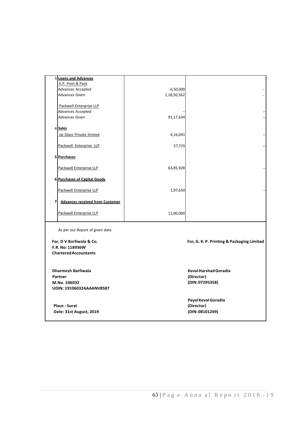|                | 3 Loans and Advances                         |             |                                            |
|----------------|----------------------------------------------|-------------|--------------------------------------------|
|                | K.P. Print & Pack                            |             |                                            |
|                | Advances Accepted                            | 6,50,000    |                                            |
|                | Advances Given                               | 2,18,50,562 |                                            |
|                | Packwell Enterprise LLP                      |             |                                            |
|                | Advances Accepted                            |             |                                            |
|                | Advances Given                               | 91,17,634   |                                            |
|                | 4 Sales                                      |             |                                            |
|                | Jai Glass Private limited                    | 4,16,041    |                                            |
|                |                                              |             |                                            |
|                | Packwell Enterprise LLP                      | 57,725      |                                            |
|                | 5 Purchases                                  |             |                                            |
|                | Packwell Enterprise LLP                      | 63,85,928   |                                            |
|                | 6 Purchases of Capital Goods                 |             |                                            |
|                |                                              |             |                                            |
|                | Packwell Enterprise LLP                      | 1,97,650    |                                            |
| $\overline{7}$ | <b>Advances received from Customer</b>       |             |                                            |
|                | Packwell Enterprise LLP                      | 11,00,000   |                                            |
|                | As per our Report of given date              |             |                                            |
|                |                                              |             |                                            |
|                | For, D V Barfiwala & Co.<br>F.R. No: 118936W |             | For, G. K. P. Printing & Packaging Limited |
|                | <b>Chartered Accountants</b>                 |             |                                            |
|                |                                              |             |                                            |
|                | <b>Dharmesh Barfiwala</b>                    |             | Keval Harshad Goradia                      |
|                | Partner                                      |             | (Director)                                 |
|                | M.No. 106032                                 |             | (DIN: 07295358)                            |
|                | <b>UDIN: 19106032AAAANV8587</b>              |             |                                            |
|                |                                              |             | Payal Keval Goradia                        |
|                | <b>Place: Surat</b>                          |             | (Director)                                 |
|                | Date: 31st August, 2019                      |             | (DIN: 08101269)                            |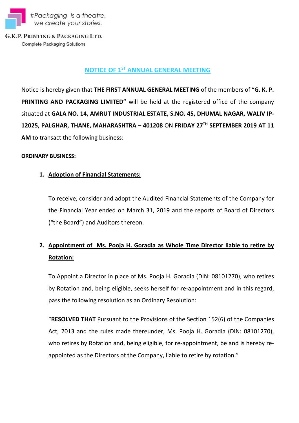

**G.K.P. PRINTING & PACKAGING LTD. Complete Packaging Solutions** 

# **NOTICE OF 1ST ANNUAL GENERAL MEETING**

Notice is hereby given that **THE FIRST ANNUAL GENERAL MEETING** of the members of "**G. K. P. PRINTING AND PACKAGING LIMITED"** will be held at the registered office of the company situated at **GALA NO. 14, AMRUT INDUSTRIAL ESTATE, S.NO. 45, DHUMAL NAGAR, WALIV IP‐ 12025, PALGHAR, THANE, MAHARASHTRA – 401208** ON **FRIDAY 27TH SEPTEMBER 2019 AT 11 AM** to transact the following business:

# **ORDINARY BUSINESS:**

# **1. Adoption of Financial Statements:**

To receive, consider and adopt the Audited Financial Statements of the Company for the Financial Year ended on March 31, 2019 and the reports of Board of Directors ("the Board") and Auditors thereon.

# **2. Appointment of Ms. Pooja H. Goradia as Whole Time Director liable to retire by Rotation:**

To Appoint a Director in place of Ms. Pooja H. Goradia (DIN: 08101270), who retires by Rotation and, being eligible, seeks herself for re‐appointment and in this regard, pass the following resolution as an Ordinary Resolution:

"**RESOLVED THAT** Pursuant to the Provisions of the Section 152(6) of the Companies Act, 2013 and the rules made thereunder, Ms. Pooja H. Goradia (DIN: 08101270), who retires by Rotation and, being eligible, for re-appointment, be and is hereby reappointed as the Directors of the Company, liable to retire by rotation."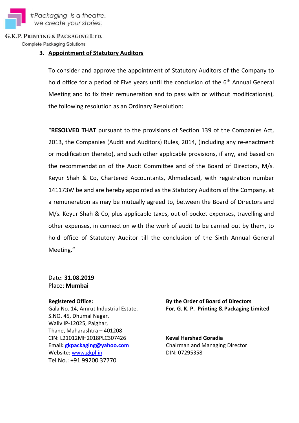

**Complete Packaging Solutions** 

### **3. Appointment of Statutory Auditors**

To consider and approve the appointment of Statutory Auditors of the Company to hold office for a period of Five years until the conclusion of the  $6<sup>th</sup>$  Annual General Meeting and to fix their remuneration and to pass with or without modification(s), the following resolution as an Ordinary Resolution:

"**RESOLVED THAT** pursuant to the provisions of Section 139 of the Companies Act, 2013, the Companies (Audit and Auditors) Rules, 2014, (including any re‐enactment or modification thereto), and such other applicable provisions, if any, and based on the recommendation of the Audit Committee and of the Board of Directors, M/s. Keyur Shah & Co, Chartered Accountants, Ahmedabad, with registration number 141173W be and are hereby appointed as the Statutory Auditors of the Company, at a remuneration as may be mutually agreed to, between the Board of Directors and M/s. Keyur Shah & Co, plus applicable taxes, out‐of‐pocket expenses, travelling and other expenses, in connection with the work of audit to be carried out by them, to hold office of Statutory Auditor till the conclusion of the Sixth Annual General Meeting."

Date: **31.08.2019** Place: **Mumbai**

S.NO. 45, Dhumal Nagar, Waliv IP‐12025, Palghar, Thane, Maharashtra – 401208 CIN: L21012MH2018PLC307426 **Keval Harshad Goradia**  Emai**l: gkpackaging@yahoo.com**  Chairman and Managing Director Website: www.gkpl.in DIN: 07295358 Tel No.: +91 99200 37770

**Registered Office: By the Order of Board of Directors** Gala No. 14, Amrut Industrial Estate, **For, G. K. P. Printing & Packaging Limited**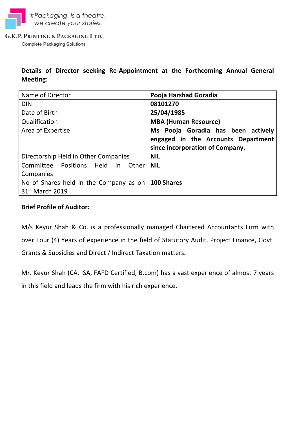

**Complete Packaging Solutions** 

# **Details of Director seeking Re‐Appointment at the Forthcoming Annual General Meeting:**

| Name of Director                       | Pooja Harshad Goradia                                                                                       |  |  |
|----------------------------------------|-------------------------------------------------------------------------------------------------------------|--|--|
| <b>DIN</b>                             | 08101270                                                                                                    |  |  |
| Date of Birth                          | 25/04/1985                                                                                                  |  |  |
| Qualification                          | <b>MBA (Human Resource)</b>                                                                                 |  |  |
| Area of Expertise                      | Ms Pooja Goradia has been actively<br>engaged in the Accounts Department<br>since incorporation of Company. |  |  |
| Directorship Held in Other Companies   | <b>NIL</b>                                                                                                  |  |  |
| Committee Positions Held in<br>Other   | <b>NIL</b>                                                                                                  |  |  |
| Companies                              |                                                                                                             |  |  |
| No of Shares held in the Company as on | 100 Shares                                                                                                  |  |  |
| 31 <sup>st</sup> March 2019            |                                                                                                             |  |  |

# **Brief Profile of Auditor:**

M/s Keyur Shah & Co. is a professionally managed Chartered Accountants Firm with over Four (4) Years of experience in the field of Statutory Audit, Project Finance, Govt. Grants & Subsidies and Direct / Indirect Taxation matters**.**

Mr. Keyur Shah (CA, ISA, FAFD Certified, B.com) has a vast experience of almost 7 years in this field and leads the firm with his rich experience.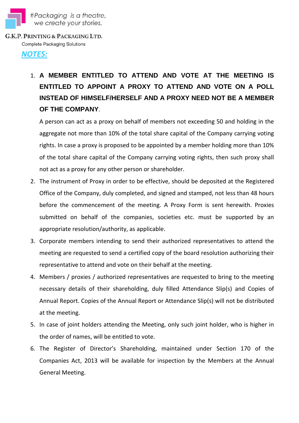

# **G.K.P. PRINTING & PACKAGING LTD. Complete Packaging Solutions**

# *NOTES:*

# 1. **A MEMBER ENTITLED TO ATTEND AND VOTE AT THE MEETING IS ENTITLED TO APPOINT A PROXY TO ATTEND AND VOTE ON A POLL INSTEAD OF HIMSELF/HERSELF AND A PROXY NEED NOT BE A MEMBER OF THE COMPANY**.

A person can act as a proxy on behalf of members not exceeding 50 and holding in the aggregate not more than 10% of the total share capital of the Company carrying voting rights. In case a proxy is proposed to be appointed by a member holding more than 10% of the total share capital of the Company carrying voting rights, then such proxy shall not act as a proxy for any other person or shareholder.

- 2. The instrument of Proxy in order to be effective, should be deposited at the Registered Office of the Company, duly completed, and signed and stamped, not less than 48 hours before the commencement of the meeting. A Proxy Form is sent herewith. Proxies submitted on behalf of the companies, societies etc. must be supported by an appropriate resolution/authority, as applicable.
- 3. Corporate members intending to send their authorized representatives to attend the meeting are requested to send a certified copy of the board resolution authorizing their representative to attend and vote on their behalf at the meeting.
- 4. Members / proxies / authorized representatives are requested to bring to the meeting necessary details of their shareholding, duly filled Attendance Slip(s) and Copies of Annual Report. Copies of the Annual Report or Attendance Slip(s) will not be distributed at the meeting.
- 5. In case of joint holders attending the Meeting, only such joint holder, who is higher in the order of names, will be entitled to vote.
- 6. The Register of Director's Shareholding, maintained under Section 170 of the Companies Act, 2013 will be available for inspection by the Members at the Annual General Meeting.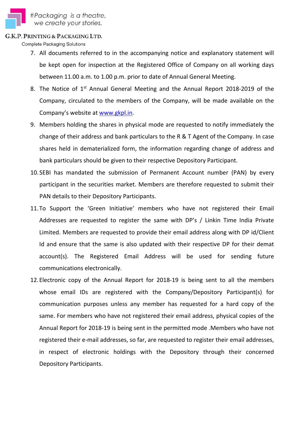

**Complete Packaging Solutions** 

- 7. All documents referred to in the accompanying notice and explanatory statement will be kept open for inspection at the Registered Office of Company on all working days between 11.00 a.m. to 1.00 p.m. prior to date of Annual General Meeting.
- 8. The Notice of 1<sup>st</sup> Annual General Meeting and the Annual Report 2018-2019 of the Company, circulated to the members of the Company, will be made available on the Company's website at www.gkpl.in.
- 9. Members holding the shares in physical mode are requested to notify immediately the change of their address and bank particulars to the R & T Agent of the Company. In case shares held in dematerialized form, the information regarding change of address and bank particulars should be given to their respective Depository Participant.
- 10. SEBI has mandated the submission of Permanent Account number (PAN) by every participant in the securities market. Members are therefore requested to submit their PAN details to their Depository Participants.
- 11.To Support the 'Green Initiative' members who have not registered their Email Addresses are requested to register the same with DP's / Linkin Time India Private Limited. Members are requested to provide their email address along with DP id/Client Id and ensure that the same is also updated with their respective DP for their demat account(s). The Registered Email Address will be used for sending future communications electronically.
- 12.Electronic copy of the Annual Report for 2018‐19 is being sent to all the members whose email IDs are registered with the Company/Depository Participant(s) for communication purposes unless any member has requested for a hard copy of the same. For members who have not registered their email address, physical copies of the Annual Report for 2018‐19 is being sent in the permitted mode .Members who have not registered their e‐mail addresses, so far, are requested to register their email addresses, in respect of electronic holdings with the Depository through their concerned Depository Participants.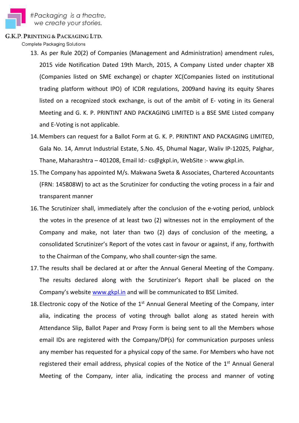

**Complete Packaging Solutions** 

- 13. As per Rule 20(2) of Companies (Management and Administration) amendment rules, 2015 vide Notification Dated 19th March, 2015, A Company Listed under chapter XB (Companies listed on SME exchange) or chapter XC(Companies listed on institutional trading platform without IPO) of ICDR regulations, 2009and having its equity Shares listed on a recognized stock exchange, is out of the ambit of E‐ voting in its General Meeting and G. K. P. PRINTINT AND PACKAGING LIMITED is a BSE SME Listed company and E‐Voting is not applicable.
- 14.Members can request for a Ballot Form at G. K. P. PRINTINT AND PACKAGING LIMITED, Gala No. 14, Amrut Industrial Estate, S.No. 45, Dhumal Nagar, Waliv IP‐12025, Palghar, Thane, Maharashtra – 401208, Email Id:‐ cs@gkpl.in, WebSite :‐ www.gkpl.in.
- 15.The Company has appointed M/s. Makwana Sweta & Associates, Chartered Accountants (FRN: 145808W) to act as the Scrutinizer for conducting the voting process in a fair and transparent manner
- 16. The Scrutinizer shall, immediately after the conclusion of the e-voting period, unblock the votes in the presence of at least two (2) witnesses not in the employment of the Company and make, not later than two (2) days of conclusion of the meeting, a consolidated Scrutinizer's Report of the votes cast in favour or against, if any, forthwith to the Chairman of the Company, who shall counter‐sign the same.
- 17.The results shall be declared at or after the Annual General Meeting of the Company. The results declared along with the Scrutinizer's Report shall be placed on the Company's website www.gkpl.in and will be communicated to BSE Limited.
- 18. Electronic copy of the Notice of the  $1<sup>st</sup>$  Annual General Meeting of the Company, inter alia, indicating the process of voting through ballot along as stated herein with Attendance Slip, Ballot Paper and Proxy Form is being sent to all the Members whose email IDs are registered with the Company/DP(s) for communication purposes unless any member has requested for a physical copy of the same. For Members who have not registered their email address, physical copies of the Notice of the  $1<sup>st</sup>$  Annual General Meeting of the Company, inter alia, indicating the process and manner of voting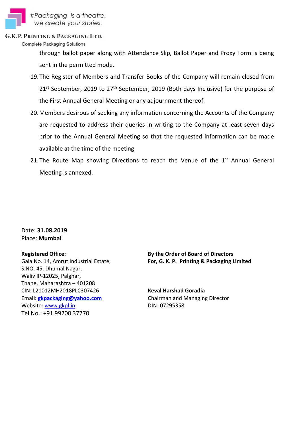

**Complete Packaging Solutions** 

through ballot paper along with Attendance Slip, Ballot Paper and Proxy Form is being sent in the permitted mode.

- 19.The Register of Members and Transfer Books of the Company will remain closed from  $21<sup>st</sup>$  September, 2019 to 27<sup>th</sup> September, 2019 (Both days Inclusive) for the purpose of the First Annual General Meeting or any adjournment thereof.
- 20.Members desirous of seeking any information concerning the Accounts of the Company are requested to address their queries in writing to the Company at least seven days prior to the Annual General Meeting so that the requested information can be made available at the time of the meeting
- 21. The Route Map showing Directions to reach the Venue of the  $1<sup>st</sup>$  Annual General Meeting is annexed.

# Date: **31.08.2019** Place: **Mumbai**

S.NO. 45, Dhumal Nagar, Waliv IP‐12025, Palghar, Thane, Maharashtra – 401208 CIN: L21012MH2018PLC307426 **Keval Harshad Goradia**  Emai**l: gkpackaging@yahoo.com**  Chairman and Managing Director Website: www.gkpl.in DIN: 07295358 Tel No.: +91 99200 37770

**Registered Office: By the Order of Board of Directors** Gala No. 14, Amrut Industrial Estate, **For, G. K. P. Printing & Packaging Limited**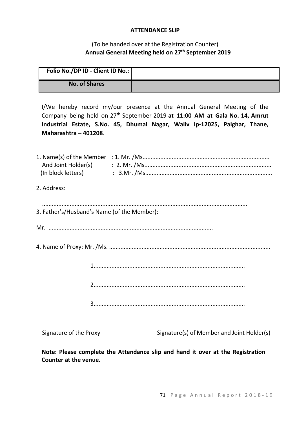# **ATTENDANCE SLIP**

# (To be handed over at the Registration Counter) **Annual General Meeting held on 27th September 2019**

| Folio No./DP ID - Client ID No.: |  |
|----------------------------------|--|
| <b>No. of Shares</b>             |  |

I/We hereby record my/our presence at the Annual General Meeting of the Company being held on 27th September 2019 **at 11:00 AM at Gala No. 14, Amrut Industrial Estate, S.No. 45, Dhumal Nagar, Waliv Ip‐12025, Palghar, Thane, Maharashtra – 401208**.

| 2. Address:                                 |                                            |
|---------------------------------------------|--------------------------------------------|
| 3. Father's/Husband's Name (of the Member): |                                            |
|                                             |                                            |
|                                             |                                            |
|                                             |                                            |
|                                             |                                            |
|                                             |                                            |
| Signature of the Proxy                      | Signature(s) of Member and Joint Holder(s) |
|                                             |                                            |

**Note: Please complete the Attendance slip and hand it over at the Registration Counter at the venue.**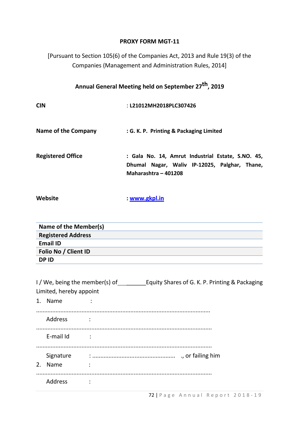# **PROXY FORM MGT‐11**

[Pursuant to Section 105(6) of the Companies Act, 2013 and Rule 19(3) of the Companies (Management and Administration Rules, 2014]

# **Annual General Meeting held on September 27th, 2019**

| <b>CIN</b>                 | : L21012MH2018PLC307426                                                                                                    |
|----------------------------|----------------------------------------------------------------------------------------------------------------------------|
| <b>Name of the Company</b> | : G. K. P. Printing & Packaging Limited                                                                                    |
| <b>Registered Office</b>   | : Gala No. 14, Amrut Industrial Estate, S.NO. 45,<br>Dhumal Nagar, Waliv IP-12025, Palghar, Thane,<br>Maharashtra - 401208 |

# **Website : www.gkpl.in**

| Name of the Member(s)     |
|---------------------------|
| <b>Registered Address</b> |
| <b>Email ID</b>           |
| Folio No / Client ID      |
| <b>DPID</b>               |

|    | Limited, hereby appoint  | $1/$ We, being the member(s) of | Equity Shares of G. K. P. Printing & Packaging |  |
|----|--------------------------|---------------------------------|------------------------------------------------|--|
| 1. | Name                     |                                 |                                                |  |
|    | <b>Address</b>           |                                 |                                                |  |
|    | E-mail Id                |                                 |                                                |  |
| 2. | Signature<br><b>Name</b> |                                 |                                                |  |
|    | Address                  |                                 |                                                |  |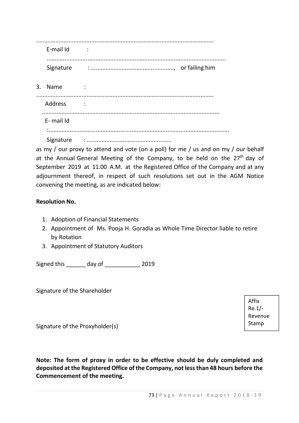E-mail Id  $\cdot$ Signature 3. Name  $\cdot$ Address  $\cdot$ F-mail Id Signature 

as my / our proxy to attend and vote (on a poll) for me / us and on my / our behalf at the Annual General Meeting of the Company, to be held on the 27<sup>th</sup> day of September 2019 at 11.00 A.M. at the Registered Office of the Company and at any adjournment thereof, in respect of such resolutions set out in the AGM Notice convening the meeting, as are indicated below:

## **Resolution No.**

- 1. Adoption of Financial Statements
- 2. Appointment of Ms. Pooja H. Goradia as Whole Time Director liable to retire by Rotation
- 3. Appointment of Statutory Auditors

Signed this day of 2019

Signature of the Shareholder

Affix  $Re.1/-$ Revenue Stamp

Signature of the Proxyholder(s)

Note: The form of proxy in order to be effective should be duly completed and deposited at the Registered Office of the Company, not less than 48 hours before the Commencement of the meeting.